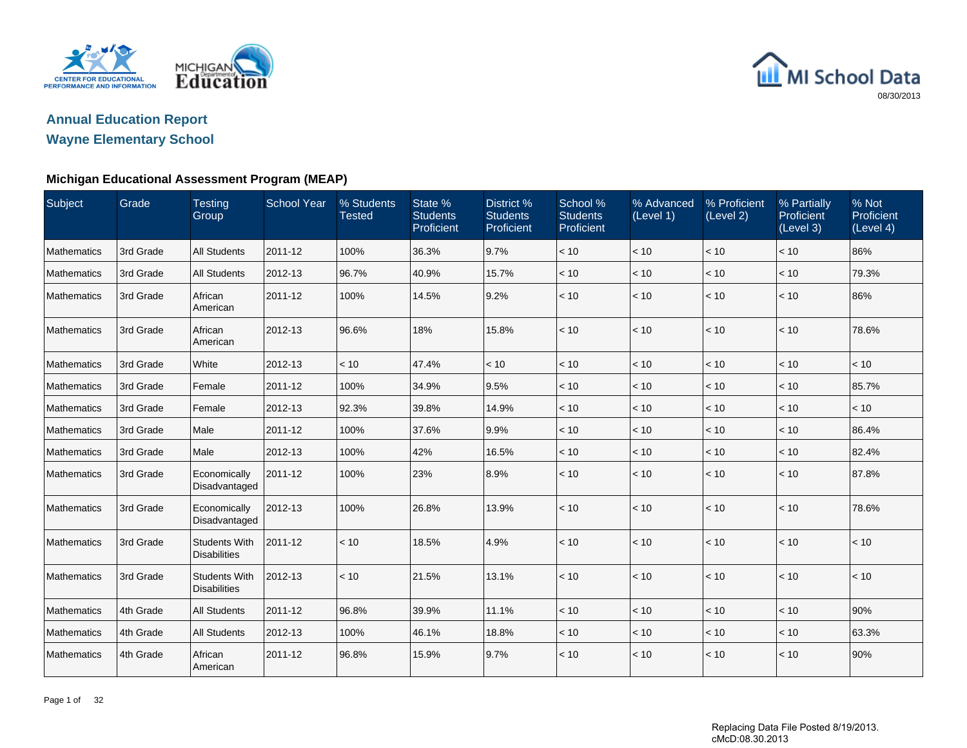

## **Annual Education Report**

## **Wayne Elementary School**

### **Michigan Educational Assessment Program (MEAP)**

| Subject     | Grade     | <b>Testing</b><br>Group                     | <b>School Year</b> | % Students<br><b>Tested</b> | State %<br><b>Students</b><br>Proficient | District %<br><b>Students</b><br>Proficient | School %<br><b>Students</b><br>Proficient | % Advanced<br>(Level 1) | % Proficient<br>(Level 2) | % Partially<br>Proficient<br>(Level 3) | % Not<br>Proficient<br>(Level 4) |
|-------------|-----------|---------------------------------------------|--------------------|-----------------------------|------------------------------------------|---------------------------------------------|-------------------------------------------|-------------------------|---------------------------|----------------------------------------|----------------------------------|
| Mathematics | 3rd Grade | <b>All Students</b>                         | 2011-12            | 100%                        | 36.3%                                    | 9.7%                                        | < 10                                      | < 10                    | < 10                      | < 10                                   | 86%                              |
| Mathematics | 3rd Grade | <b>All Students</b>                         | 2012-13            | 96.7%                       | 40.9%                                    | 15.7%                                       | < 10                                      | < 10                    | < 10                      | < 10                                   | 79.3%                            |
| Mathematics | 3rd Grade | African<br>American                         | 2011-12            | 100%                        | 14.5%                                    | 9.2%                                        | < 10                                      | < 10                    | < 10                      | < 10                                   | 86%                              |
| Mathematics | 3rd Grade | African<br>American                         | 2012-13            | 96.6%                       | 18%                                      | 15.8%                                       | < 10                                      | < 10                    | < 10                      | < 10                                   | 78.6%                            |
| Mathematics | 3rd Grade | White                                       | 2012-13            | < 10                        | 47.4%                                    | < 10                                        | < 10                                      | < 10                    | < 10                      | < 10                                   | < 10                             |
| Mathematics | 3rd Grade | Female                                      | 2011-12            | 100%                        | 34.9%                                    | 9.5%                                        | < 10                                      | < 10                    | < 10                      | < 10                                   | 85.7%                            |
| Mathematics | 3rd Grade | Female                                      | 2012-13            | 92.3%                       | 39.8%                                    | 14.9%                                       | < 10                                      | < 10                    | < 10                      | < 10                                   | < 10                             |
| Mathematics | 3rd Grade | Male                                        | 2011-12            | 100%                        | 37.6%                                    | 9.9%                                        | < 10                                      | < 10                    | < 10                      | < 10                                   | 86.4%                            |
| Mathematics | 3rd Grade | Male                                        | 2012-13            | 100%                        | 42%                                      | 16.5%                                       | $<10$                                     | < 10                    | < 10                      | < 10                                   | 82.4%                            |
| Mathematics | 3rd Grade | Economically<br>Disadvantaged               | 2011-12            | 100%                        | 23%                                      | 8.9%                                        | < 10                                      | < 10                    | < 10                      | < 10                                   | 87.8%                            |
| Mathematics | 3rd Grade | Economically<br>Disadvantaged               | 2012-13            | 100%                        | 26.8%                                    | 13.9%                                       | < 10                                      | < 10                    | < 10                      | $<10$                                  | 78.6%                            |
| Mathematics | 3rd Grade | <b>Students With</b><br><b>Disabilities</b> | 2011-12            | < 10                        | 18.5%                                    | 4.9%                                        | < 10                                      | < 10                    | < 10                      | < 10                                   | < 10                             |
| Mathematics | 3rd Grade | <b>Students With</b><br><b>Disabilities</b> | 2012-13            | < 10                        | 21.5%                                    | 13.1%                                       | < 10                                      | < 10                    | < 10                      | < 10                                   | < 10                             |
| Mathematics | 4th Grade | <b>All Students</b>                         | 2011-12            | 96.8%                       | 39.9%                                    | 11.1%                                       | < 10                                      | < 10                    | < 10                      | < 10                                   | 90%                              |
| Mathematics | 4th Grade | <b>All Students</b>                         | 2012-13            | 100%                        | 46.1%                                    | 18.8%                                       | < 10                                      | < 10                    | < 10                      | < 10                                   | 63.3%                            |
| Mathematics | 4th Grade | African<br>American                         | 2011-12            | 96.8%                       | 15.9%                                    | 9.7%                                        | < 10                                      | < 10                    | < 10                      | < 10                                   | 90%                              |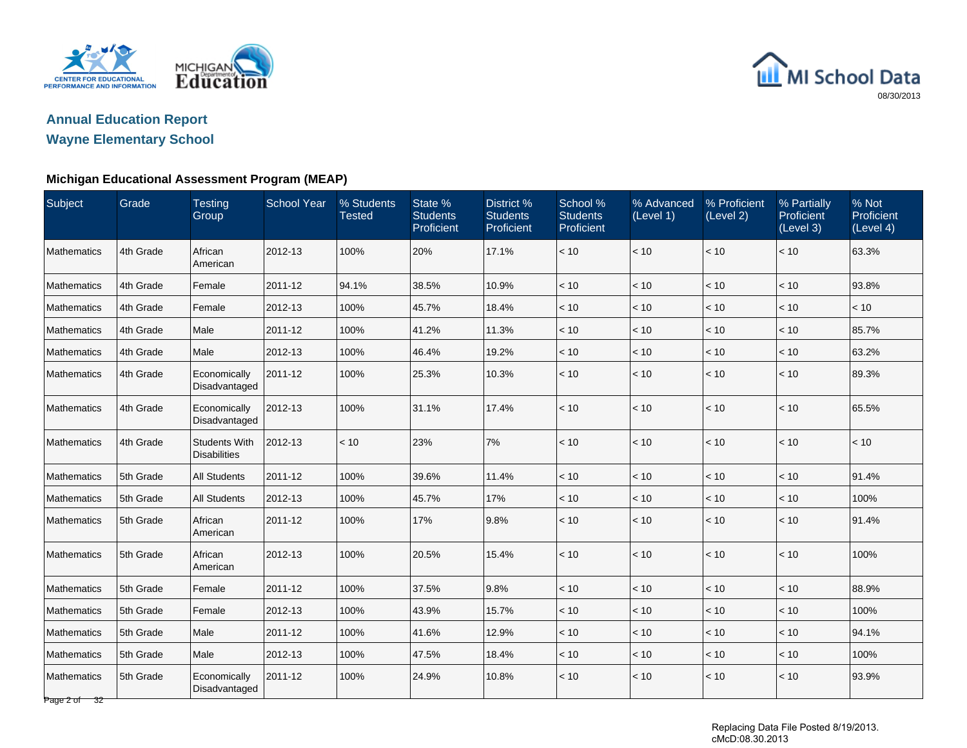

## **Annual Education Report**

## **Wayne Elementary School**

### **Michigan Educational Assessment Program (MEAP)**

| Subject                     | Grade     | <b>Testing</b><br>Group                     | <b>School Year</b> | % Students<br><b>Tested</b> | State %<br><b>Students</b><br>Proficient | District <sub>%</sub><br><b>Students</b><br>Proficient | School %<br><b>Students</b><br>Proficient | % Advanced<br>(Level 1) | % Proficient<br>(Level 2) | % Partially<br>Proficient<br>(Level 3) | % Not<br>Proficient<br>(Level 4) |
|-----------------------------|-----------|---------------------------------------------|--------------------|-----------------------------|------------------------------------------|--------------------------------------------------------|-------------------------------------------|-------------------------|---------------------------|----------------------------------------|----------------------------------|
| Mathematics                 | 4th Grade | African<br>American                         | 2012-13            | 100%                        | 20%                                      | 17.1%                                                  | < 10                                      | < 10                    | < 10                      | < 10                                   | 63.3%                            |
| Mathematics                 | 4th Grade | Female                                      | 2011-12            | 94.1%                       | 38.5%                                    | 10.9%                                                  | < 10                                      | $<10$                   | < 10                      | < 10                                   | 93.8%                            |
| <b>Mathematics</b>          | 4th Grade | Female                                      | 2012-13            | 100%                        | 45.7%                                    | 18.4%                                                  | $<10$                                     | < 10                    | $<10$                     | < 10                                   | < 10                             |
| Mathematics                 | 4th Grade | Male                                        | 2011-12            | 100%                        | 41.2%                                    | 11.3%                                                  | < 10                                      | < 10                    | < 10                      | < 10                                   | 85.7%                            |
| Mathematics                 | 4th Grade | Male                                        | 2012-13            | 100%                        | 46.4%                                    | 19.2%                                                  | $<10$                                     | < 10                    | < 10                      | < 10                                   | 63.2%                            |
| Mathematics                 | 4th Grade | Economically<br>Disadvantaged               | 2011-12            | 100%                        | 25.3%                                    | 10.3%                                                  | < 10                                      | < 10                    | < 10                      | < 10                                   | 89.3%                            |
| Mathematics                 | 4th Grade | Economically<br>Disadvantaged               | 2012-13            | 100%                        | 31.1%                                    | 17.4%                                                  | < 10                                      | < 10                    | < 10                      | < 10                                   | 65.5%                            |
| Mathematics                 | 4th Grade | <b>Students With</b><br><b>Disabilities</b> | 2012-13            | < 10                        | 23%                                      | 7%                                                     | < 10                                      | < 10                    | < 10                      | < 10                                   | < 10                             |
| Mathematics                 | 5th Grade | <b>All Students</b>                         | 2011-12            | 100%                        | 39.6%                                    | 11.4%                                                  | < 10                                      | $<10$                   | < 10                      | < 10                                   | 91.4%                            |
| Mathematics                 | 5th Grade | <b>All Students</b>                         | 2012-13            | 100%                        | 45.7%                                    | 17%                                                    | < 10                                      | < 10                    | < 10                      | < 10                                   | 100%                             |
| <b>Mathematics</b>          | 5th Grade | African<br>American                         | 2011-12            | 100%                        | 17%                                      | 9.8%                                                   | < 10                                      | < 10                    | < 10                      | < 10                                   | 91.4%                            |
| <b>Mathematics</b>          | 5th Grade | African<br>American                         | 2012-13            | 100%                        | 20.5%                                    | 15.4%                                                  | < 10                                      | < 10                    | < 10                      | < 10                                   | 100%                             |
| Mathematics                 | 5th Grade | Female                                      | 2011-12            | 100%                        | 37.5%                                    | 9.8%                                                   | < 10                                      | < 10                    | < 10                      | < 10                                   | 88.9%                            |
| Mathematics                 | 5th Grade | Female                                      | 2012-13            | 100%                        | 43.9%                                    | 15.7%                                                  | < 10                                      | < 10                    | < 10                      | < 10                                   | 100%                             |
| Mathematics                 | 5th Grade | Male                                        | 2011-12            | 100%                        | 41.6%                                    | 12.9%                                                  | < 10                                      | < 10                    | < 10                      | < 10                                   | 94.1%                            |
| Mathematics                 | 5th Grade | Male                                        | 2012-13            | 100%                        | 47.5%                                    | 18.4%                                                  | < 10                                      | < 10                    | < 10                      | < 10                                   | 100%                             |
| Mathematics<br>Page 2 of 32 | 5th Grade | Economically<br>Disadvantaged               | 2011-12            | 100%                        | 24.9%                                    | 10.8%                                                  | < 10                                      | $<10$                   | < 10                      | < 10                                   | 93.9%                            |

Replacing Data File Posted 8/19/2013. cMcD:08.30.2013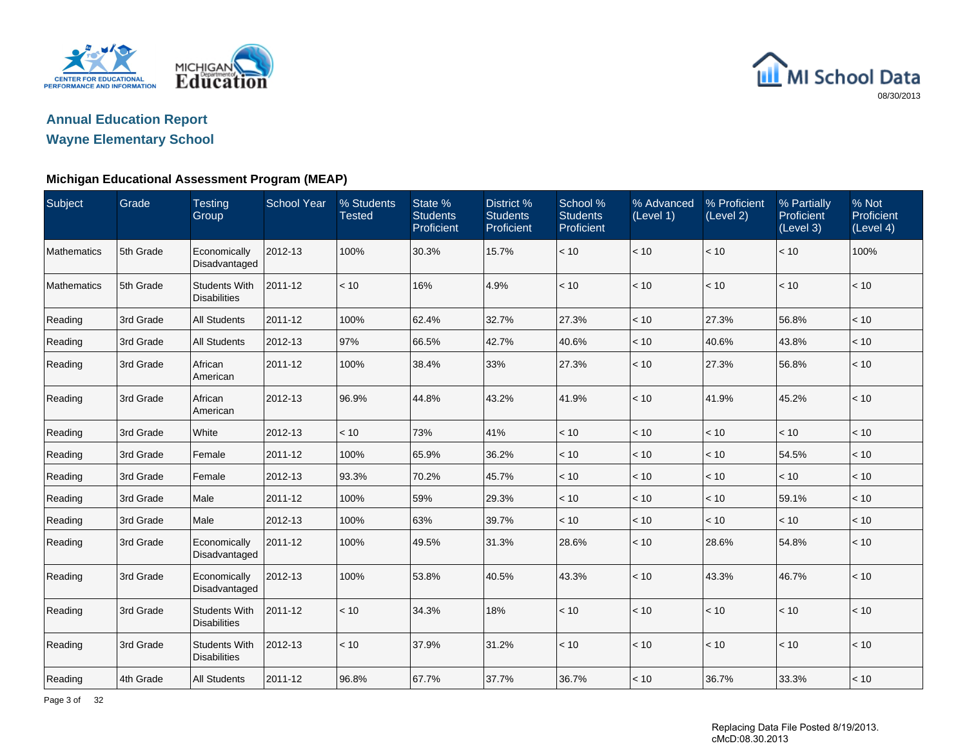

## **Annual Education Report**

## **Wayne Elementary School**

### **Michigan Educational Assessment Program (MEAP)**

| Subject     | Grade     | <b>Testing</b><br>Group                     | <b>School Year</b> | % Students<br><b>Tested</b> | State %<br><b>Students</b><br>Proficient | District %<br><b>Students</b><br>Proficient | School %<br><b>Students</b><br>Proficient | % Advanced<br>(Level 1) | % Proficient<br>(Level 2) | % Partially<br>Proficient<br>(Level 3) | % Not<br>Proficient<br>(Level 4) |
|-------------|-----------|---------------------------------------------|--------------------|-----------------------------|------------------------------------------|---------------------------------------------|-------------------------------------------|-------------------------|---------------------------|----------------------------------------|----------------------------------|
| Mathematics | 5th Grade | Economically<br>Disadvantaged               | 2012-13            | 100%                        | 30.3%                                    | 15.7%                                       | < 10                                      | < 10                    | < 10                      | < 10                                   | 100%                             |
| Mathematics | 5th Grade | <b>Students With</b><br><b>Disabilities</b> | 2011-12            | < 10                        | 16%                                      | 4.9%                                        | < 10                                      | < 10                    | < 10                      | < 10                                   | < 10                             |
| Reading     | 3rd Grade | <b>All Students</b>                         | 2011-12            | 100%                        | 62.4%                                    | 32.7%                                       | 27.3%                                     | < 10                    | 27.3%                     | 56.8%                                  | < 10                             |
| Reading     | 3rd Grade | <b>All Students</b>                         | 2012-13            | 97%                         | 66.5%                                    | 42.7%                                       | 40.6%                                     | < 10                    | 40.6%                     | 43.8%                                  | < 10                             |
| Reading     | 3rd Grade | African<br>American                         | 2011-12            | 100%                        | 38.4%                                    | 33%                                         | 27.3%                                     | < 10                    | 27.3%                     | 56.8%                                  | < 10                             |
| Reading     | 3rd Grade | African<br>American                         | 2012-13            | 96.9%                       | 44.8%                                    | 43.2%                                       | 41.9%                                     | $<10$                   | 41.9%                     | 45.2%                                  | $<10$                            |
| Reading     | 3rd Grade | White                                       | 2012-13            | < 10                        | 73%                                      | 41%                                         | < 10                                      | < 10                    | < 10                      | < 10                                   | < 10                             |
| Reading     | 3rd Grade | Female                                      | 2011-12            | 100%                        | 65.9%                                    | 36.2%                                       | < 10                                      | < 10                    | < 10                      | 54.5%                                  | < 10                             |
| Reading     | 3rd Grade | Female                                      | 2012-13            | 93.3%                       | 70.2%                                    | 45.7%                                       | $<10$                                     | < 10                    | $<10$                     | < 10                                   | $<10$                            |
| Reading     | 3rd Grade | Male                                        | 2011-12            | 100%                        | 59%                                      | 29.3%                                       | < 10                                      | < 10                    | < 10                      | 59.1%                                  | < 10                             |
| Reading     | 3rd Grade | Male                                        | 2012-13            | 100%                        | 63%                                      | 39.7%                                       | < 10                                      | < 10                    | < 10                      | < 10                                   | < 10                             |
| Reading     | 3rd Grade | Economically<br>Disadvantaged               | 2011-12            | 100%                        | 49.5%                                    | 31.3%                                       | 28.6%                                     | < 10                    | 28.6%                     | 54.8%                                  | < 10                             |
| Reading     | 3rd Grade | Economically<br>Disadvantaged               | 2012-13            | 100%                        | 53.8%                                    | 40.5%                                       | 43.3%                                     | < 10                    | 43.3%                     | 46.7%                                  | $<10$                            |
| Reading     | 3rd Grade | <b>Students With</b><br><b>Disabilities</b> | 2011-12            | < 10                        | 34.3%                                    | 18%                                         | < 10                                      | < 10                    | < 10                      | < 10                                   | < 10                             |
| Reading     | 3rd Grade | <b>Students With</b><br><b>Disabilities</b> | 2012-13            | < 10                        | 37.9%                                    | 31.2%                                       | < 10                                      | < 10                    | < 10                      | < 10                                   | < 10                             |
| Reading     | 4th Grade | <b>All Students</b>                         | 2011-12            | 96.8%                       | 67.7%                                    | 37.7%                                       | 36.7%                                     | < 10                    | 36.7%                     | 33.3%                                  | $<10$                            |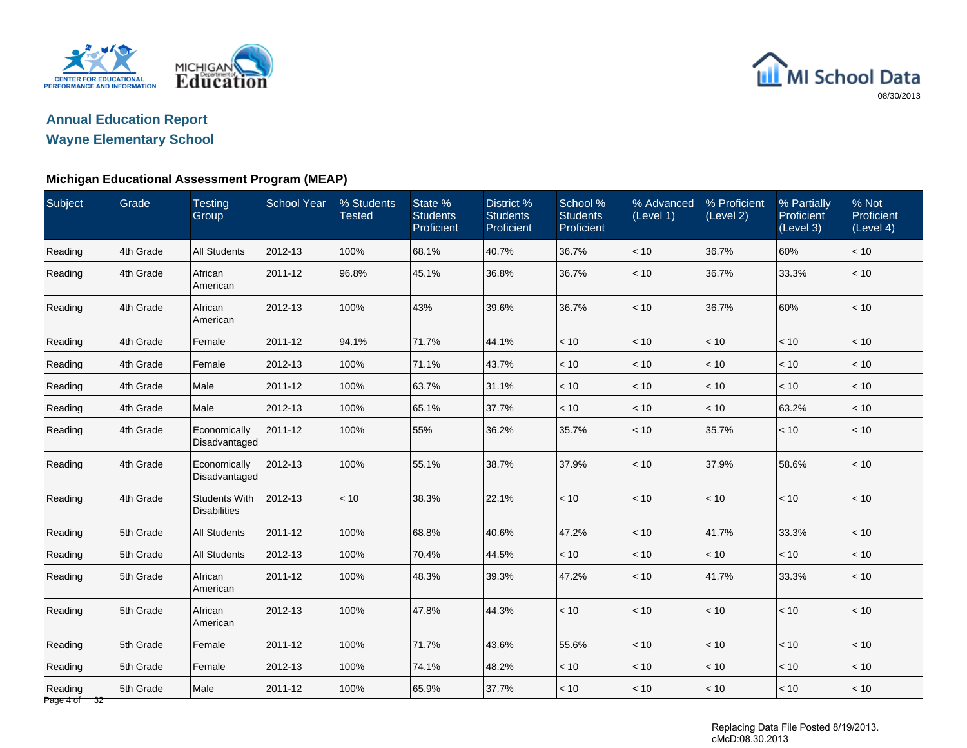

## **Annual Education Report**

## **Wayne Elementary School**

### **Michigan Educational Assessment Program (MEAP)**

| Subject                 | Grade     | <b>Testing</b><br>Group                     | <b>School Year</b> | % Students<br><b>Tested</b> | State %<br><b>Students</b><br>Proficient | District %<br><b>Students</b><br>Proficient | School %<br><b>Students</b><br>Proficient | % Advanced<br>(Level 1) | % Proficient<br>(Level 2) | % Partially<br>Proficient<br>(Level 3) | % Not<br>Proficient<br>(Level 4) |
|-------------------------|-----------|---------------------------------------------|--------------------|-----------------------------|------------------------------------------|---------------------------------------------|-------------------------------------------|-------------------------|---------------------------|----------------------------------------|----------------------------------|
| Reading                 | 4th Grade | <b>All Students</b>                         | 2012-13            | 100%                        | 68.1%                                    | 40.7%                                       | 36.7%                                     | $<10$                   | 36.7%                     | 60%                                    | < 10                             |
| Reading                 | 4th Grade | African<br>American                         | 2011-12            | 96.8%                       | 45.1%                                    | 36.8%                                       | 36.7%                                     | < 10                    | 36.7%                     | 33.3%                                  | < 10                             |
| Reading                 | 4th Grade | African<br>American                         | 2012-13            | 100%                        | 43%                                      | 39.6%                                       | 36.7%                                     | < 10                    | 36.7%                     | 60%                                    | < 10                             |
| Reading                 | 4th Grade | Female                                      | 2011-12            | 94.1%                       | 71.7%                                    | 44.1%                                       | < 10                                      | < 10                    | < 10                      | < 10                                   | < 10                             |
| Reading                 | 4th Grade | Female                                      | 2012-13            | 100%                        | 71.1%                                    | 43.7%                                       | < 10                                      | < 10                    | < 10                      | < 10                                   | < 10                             |
| Reading                 | 4th Grade | Male                                        | 2011-12            | 100%                        | 63.7%                                    | 31.1%                                       | < 10                                      | < 10                    | < 10                      | < 10                                   | < 10                             |
| Reading                 | 4th Grade | Male                                        | 2012-13            | 100%                        | 65.1%                                    | 37.7%                                       | < 10                                      | < 10                    | < 10                      | 63.2%                                  | < 10                             |
| Reading                 | 4th Grade | Economically<br>Disadvantaged               | 2011-12            | 100%                        | 55%                                      | 36.2%                                       | 35.7%                                     | < 10                    | 35.7%                     | $<10$                                  | < 10                             |
| Reading                 | 4th Grade | Economically<br>Disadvantaged               | 2012-13            | 100%                        | 55.1%                                    | 38.7%                                       | 37.9%                                     | < 10                    | 37.9%                     | 58.6%                                  | < 10                             |
| Reading                 | 4th Grade | <b>Students With</b><br><b>Disabilities</b> | 2012-13            | < 10                        | 38.3%                                    | 22.1%                                       | < 10                                      | < 10                    | < 10                      | $<10$                                  | < 10                             |
| Reading                 | 5th Grade | <b>All Students</b>                         | 2011-12            | 100%                        | 68.8%                                    | 40.6%                                       | 47.2%                                     | < 10                    | 41.7%                     | 33.3%                                  | < 10                             |
| Reading                 | 5th Grade | <b>All Students</b>                         | 2012-13            | 100%                        | 70.4%                                    | 44.5%                                       | < 10                                      | < 10                    | < 10                      | < 10                                   | < 10                             |
| Reading                 | 5th Grade | African<br>American                         | 2011-12            | 100%                        | 48.3%                                    | 39.3%                                       | 47.2%                                     | < 10                    | 41.7%                     | 33.3%                                  | < 10                             |
| Reading                 | 5th Grade | African<br>American                         | 2012-13            | 100%                        | 47.8%                                    | 44.3%                                       | < 10                                      | $<10$                   | < 10                      | < 10                                   | < 10                             |
| Reading                 | 5th Grade | Female                                      | 2011-12            | 100%                        | 71.7%                                    | 43.6%                                       | 55.6%                                     | < 10                    | < 10                      | < 10                                   | < 10                             |
| Reading                 | 5th Grade | Female                                      | 2012-13            | 100%                        | 74.1%                                    | 48.2%                                       | < 10                                      | < 10                    | < 10                      | < 10                                   | < 10                             |
| Reading<br>Page 4 of 32 | 5th Grade | Male                                        | 2011-12            | 100%                        | 65.9%                                    | 37.7%                                       | < 10                                      | < 10                    | < 10                      | < 10                                   | < 10                             |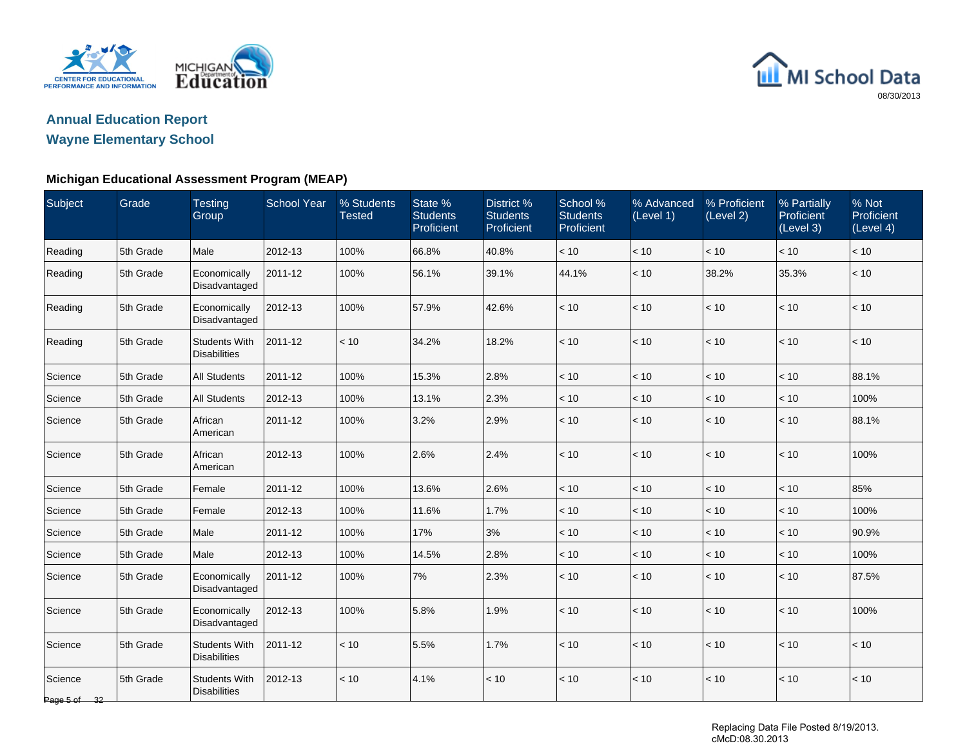

## **Annual Education Report**

## **Wayne Elementary School**

### **Michigan Educational Assessment Program (MEAP)**

| Subject                 | Grade     | <b>Testing</b><br>Group                     | <b>School Year</b> | % Students<br><b>Tested</b> | State %<br><b>Students</b><br>Proficient | District %<br><b>Students</b><br>Proficient | School %<br><b>Students</b><br>Proficient | % Advanced<br>(Level 1) | % Proficient<br>(Level 2) | % Partially<br>Proficient<br>(Level 3) | % Not<br>Proficient<br>(Level 4) |
|-------------------------|-----------|---------------------------------------------|--------------------|-----------------------------|------------------------------------------|---------------------------------------------|-------------------------------------------|-------------------------|---------------------------|----------------------------------------|----------------------------------|
| Reading                 | 5th Grade | Male                                        | 2012-13            | 100%                        | 66.8%                                    | 40.8%                                       | < 10                                      | < 10                    | < 10                      | < 10                                   | < 10                             |
| Reading                 | 5th Grade | Economically<br>Disadvantaged               | 2011-12            | 100%                        | 56.1%                                    | 39.1%                                       | 44.1%                                     | < 10                    | 38.2%                     | 35.3%                                  | < 10                             |
| Reading                 | 5th Grade | Economically<br>Disadvantaged               | 2012-13            | 100%                        | 57.9%                                    | 42.6%                                       | < 10                                      | < 10                    | < 10                      | < 10                                   | < 10                             |
| Reading                 | 5th Grade | <b>Students With</b><br><b>Disabilities</b> | 2011-12            | < 10                        | 34.2%                                    | 18.2%                                       | < 10                                      | < 10                    | < 10                      | $<10$                                  | < 10                             |
| Science                 | 5th Grade | <b>All Students</b>                         | 2011-12            | 100%                        | 15.3%                                    | 2.8%                                        | < 10                                      | $<10$                   | < 10                      | $<10$                                  | 88.1%                            |
| Science                 | 5th Grade | <b>All Students</b>                         | 2012-13            | 100%                        | 13.1%                                    | 2.3%                                        | < 10                                      | < 10                    | < 10                      | $<10$                                  | 100%                             |
| Science                 | 5th Grade | African<br>American                         | 2011-12            | 100%                        | 3.2%                                     | 2.9%                                        | < 10                                      | < 10                    | < 10                      | < 10                                   | 88.1%                            |
| Science                 | 5th Grade | African<br>American                         | 2012-13            | 100%                        | 2.6%                                     | 2.4%                                        | < 10                                      | < 10                    | < 10                      | < 10                                   | 100%                             |
| Science                 | 5th Grade | Female                                      | 2011-12            | 100%                        | 13.6%                                    | 2.6%                                        | < 10                                      | < 10                    | < 10                      | < 10                                   | 85%                              |
| Science                 | 5th Grade | Female                                      | 2012-13            | 100%                        | 11.6%                                    | 1.7%                                        | < 10                                      | < 10                    | < 10                      | < 10                                   | 100%                             |
| Science                 | 5th Grade | Male                                        | 2011-12            | 100%                        | 17%                                      | 3%                                          | < 10                                      | < 10                    | < 10                      | $<10$                                  | 90.9%                            |
| Science                 | 5th Grade | Male                                        | 2012-13            | 100%                        | 14.5%                                    | 2.8%                                        | < 10                                      | < 10                    | < 10                      | < 10                                   | 100%                             |
| Science                 | 5th Grade | Economically<br>Disadvantaged               | 2011-12            | 100%                        | 7%                                       | 2.3%                                        | < 10                                      | < 10                    | < 10                      | < 10                                   | 87.5%                            |
| Science                 | 5th Grade | Economically<br>Disadvantaged               | 2012-13            | 100%                        | 5.8%                                     | 1.9%                                        | < 10                                      | $<10$                   | $<10$                     | $<10$                                  | 100%                             |
| Science                 | 5th Grade | <b>Students With</b><br><b>Disabilities</b> | 2011-12            | < 10                        | 5.5%                                     | 1.7%                                        | < 10                                      | < 10                    | < 10                      | $<10$                                  | < 10                             |
| Science<br>Page 5 of 32 | 5th Grade | <b>Students With</b><br><b>Disabilities</b> | 2012-13            | < 10                        | 4.1%                                     | < 10                                        | < 10                                      | < 10                    | < 10                      | $<10$                                  | $<10$                            |

Replacing Data File Posted 8/19/2013. cMcD:08.30.2013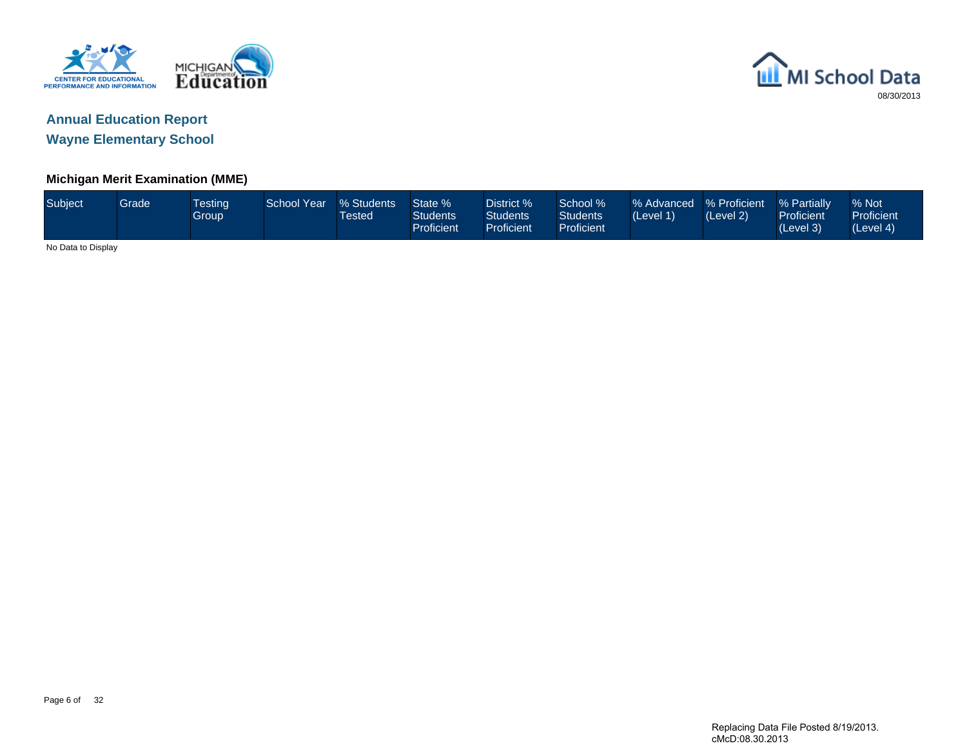



### **Michigan Merit Examination (MME)**

| Subject            | Grade <sup>1</sup> | <b>Testing</b><br>Group | <b>School Year</b> | % Students<br><b>Tested</b> | State %<br><b>Students</b><br><b>Proficient</b> | District %<br>Students<br><b>Proficient</b> | School %<br><b>Students</b><br>Proficient | % Advanced % Proficient<br>(Level 1) | (Level 2) | % Partially<br>Proficient<br>(Level 3) | % Not<br>Proficient<br>(Level 4) |
|--------------------|--------------------|-------------------------|--------------------|-----------------------------|-------------------------------------------------|---------------------------------------------|-------------------------------------------|--------------------------------------|-----------|----------------------------------------|----------------------------------|
| No Data to Display |                    |                         |                    |                             |                                                 |                                             |                                           |                                      |           |                                        |                                  |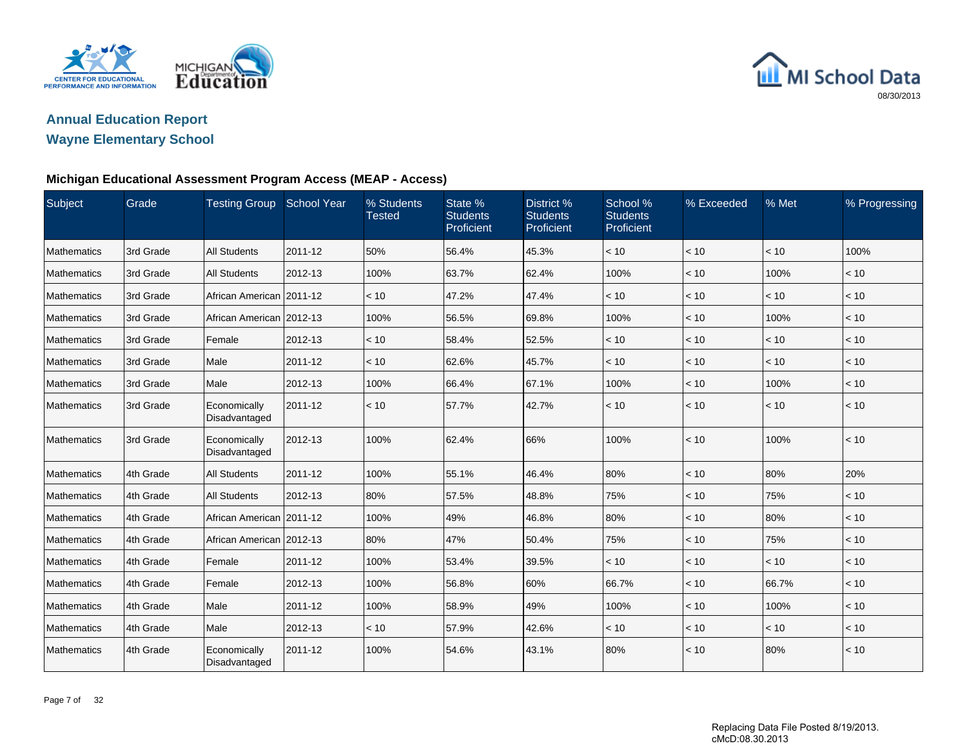



## **Wayne Elementary School**

| Subject            | Grade     | <b>Testing Group School Year</b> |         | % Students<br><b>Tested</b> | State %<br><b>Students</b><br>Proficient | District %<br><b>Students</b><br>Proficient | School %<br><b>Students</b><br>Proficient | % Exceeded | % Met | % Progressing |
|--------------------|-----------|----------------------------------|---------|-----------------------------|------------------------------------------|---------------------------------------------|-------------------------------------------|------------|-------|---------------|
| Mathematics        | 3rd Grade | <b>All Students</b>              | 2011-12 | 50%                         | 56.4%                                    | 45.3%                                       | < 10                                      | < 10       | < 10  | 100%          |
| Mathematics        | 3rd Grade | <b>All Students</b>              | 2012-13 | 100%                        | 63.7%                                    | 62.4%                                       | 100%                                      | < 10       | 100%  | < 10          |
| Mathematics        | 3rd Grade | African American   2011-12       |         | < 10                        | 47.2%                                    | 47.4%                                       | < 10                                      | < 10       | < 10  | < 10          |
| Mathematics        | 3rd Grade | African American 2012-13         |         | 100%                        | 56.5%                                    | 69.8%                                       | 100%                                      | < 10       | 100%  | < 10          |
| Mathematics        | 3rd Grade | Female                           | 2012-13 | < 10                        | 58.4%                                    | 52.5%                                       | < 10                                      | < 10       | < 10  | < 10          |
| <b>Mathematics</b> | 3rd Grade | Male                             | 2011-12 | < 10                        | 62.6%                                    | 45.7%                                       | < 10                                      | < 10       | < 10  | < 10          |
| Mathematics        | 3rd Grade | Male                             | 2012-13 | 100%                        | 66.4%                                    | 67.1%                                       | 100%                                      | $ $ < 10   | 100%  | < 10          |
| Mathematics        | 3rd Grade | Economically<br>Disadvantaged    | 2011-12 | < 10                        | 57.7%                                    | 42.7%                                       | < 10                                      | $\leq 10$  | < 10  | < 10          |
| Mathematics        | 3rd Grade | Economically<br>Disadvantaged    | 2012-13 | 100%                        | 62.4%                                    | 66%                                         | 100%                                      | $ $ < 10   | 100%  | < 10          |
| Mathematics        | 4th Grade | <b>All Students</b>              | 2011-12 | 100%                        | 55.1%                                    | 46.4%                                       | 80%                                       | $ $ < 10   | 80%   | 20%           |
| Mathematics        | 4th Grade | <b>All Students</b>              | 2012-13 | 80%                         | 57.5%                                    | 48.8%                                       | 75%                                       | < 10       | 75%   | < 10          |
| Mathematics        | 4th Grade | African American 2011-12         |         | 100%                        | 49%                                      | 46.8%                                       | 80%                                       | < 10       | 80%   | < 10          |
| Mathematics        | 4th Grade | African American 2012-13         |         | 80%                         | 47%                                      | 50.4%                                       | 75%                                       | < 10       | 75%   | < 10          |
| Mathematics        | 4th Grade | Female                           | 2011-12 | 100%                        | 53.4%                                    | 39.5%                                       | < 10                                      | < 10       | < 10  | < 10          |
| Mathematics        | 4th Grade | Female                           | 2012-13 | 100%                        | 56.8%                                    | 60%                                         | 66.7%                                     | < 10       | 66.7% | < 10          |
| Mathematics        | 4th Grade | Male                             | 2011-12 | 100%                        | 58.9%                                    | 49%                                         | 100%                                      | < 10       | 100%  | < 10          |
| Mathematics        | 4th Grade | Male                             | 2012-13 | < 10                        | 57.9%                                    | 42.6%                                       | < 10                                      | $ $ < 10   | < 10  | < 10          |
| Mathematics        | 4th Grade | Economically<br>Disadvantaged    | 2011-12 | 100%                        | 54.6%                                    | 43.1%                                       | 80%                                       | < 10       | 80%   | < 10          |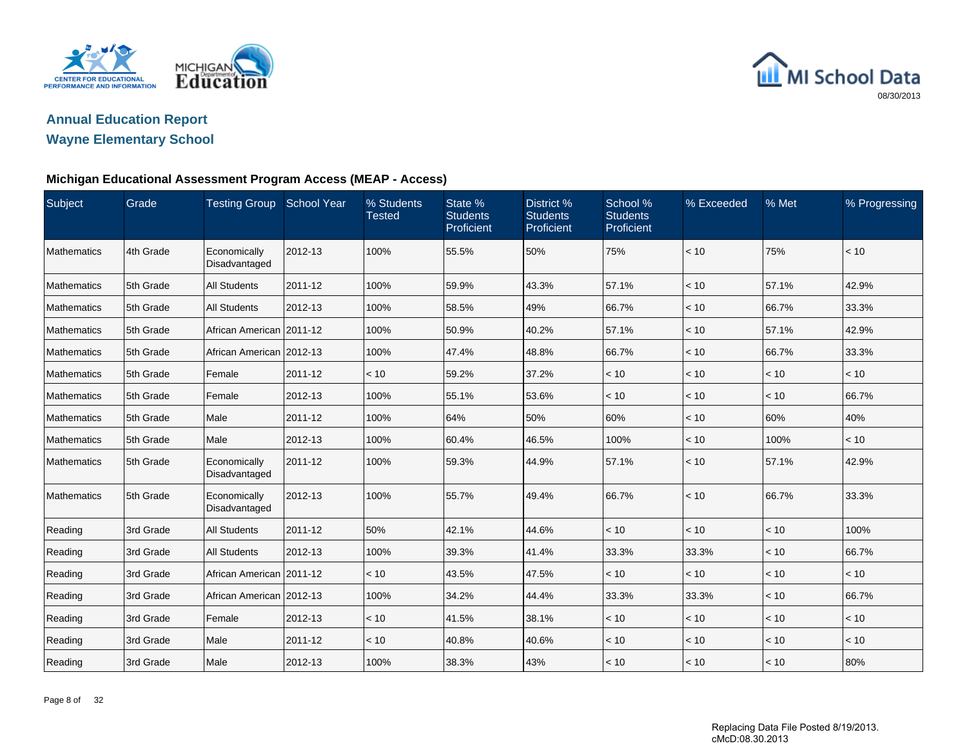



## **Wayne Elementary School**

| Subject     | Grade     | Testing Group School Year     |         | % Students<br><b>Tested</b> | State %<br><b>Students</b><br>Proficient | District %<br><b>Students</b><br>Proficient | School %<br><b>Students</b><br>Proficient | % Exceeded | % Met | % Progressing |
|-------------|-----------|-------------------------------|---------|-----------------------------|------------------------------------------|---------------------------------------------|-------------------------------------------|------------|-------|---------------|
| Mathematics | 4th Grade | Economically<br>Disadvantaged | 2012-13 | 100%                        | 55.5%                                    | 50%                                         | 75%                                       | < 10       | 75%   | < 10          |
| Mathematics | 5th Grade | <b>All Students</b>           | 2011-12 | 100%                        | 59.9%                                    | 43.3%                                       | 57.1%                                     | < 10       | 57.1% | 42.9%         |
| Mathematics | 5th Grade | <b>All Students</b>           | 2012-13 | 100%                        | 58.5%                                    | 49%                                         | 66.7%                                     | < 10       | 66.7% | 33.3%         |
| Mathematics | 5th Grade | African American   2011-12    |         | 100%                        | 50.9%                                    | 40.2%                                       | 57.1%                                     | < 10       | 57.1% | 42.9%         |
| Mathematics | 5th Grade | African American 2012-13      |         | 100%                        | 47.4%                                    | 48.8%                                       | 66.7%                                     | < 10       | 66.7% | 33.3%         |
| Mathematics | 5th Grade | Female                        | 2011-12 | < 10                        | 59.2%                                    | 37.2%                                       | < 10                                      | < 10       | < 10  | < 10          |
| Mathematics | 5th Grade | Female                        | 2012-13 | 100%                        | 55.1%                                    | 53.6%                                       | < 10                                      | < 10       | < 10  | 66.7%         |
| Mathematics | 5th Grade | Male                          | 2011-12 | 100%                        | 64%                                      | 50%                                         | 60%                                       | < 10       | 60%   | 40%           |
| Mathematics | 5th Grade | Male                          | 2012-13 | 100%                        | 60.4%                                    | 46.5%                                       | 100%                                      | < 10       | 100%  | < 10          |
| Mathematics | 5th Grade | Economically<br>Disadvantaged | 2011-12 | 100%                        | 59.3%                                    | 44.9%                                       | 57.1%                                     | $ $ < 10   | 57.1% | 42.9%         |
| Mathematics | 5th Grade | Economically<br>Disadvantaged | 2012-13 | 100%                        | 55.7%                                    | 49.4%                                       | 66.7%                                     | < 10       | 66.7% | 33.3%         |
| Reading     | 3rd Grade | <b>All Students</b>           | 2011-12 | 50%                         | 42.1%                                    | 44.6%                                       | < 10                                      | < 10       | < 10  | 100%          |
| Reading     | 3rd Grade | <b>All Students</b>           | 2012-13 | 100%                        | 39.3%                                    | 41.4%                                       | 33.3%                                     | 33.3%      | < 10  | 66.7%         |
| Reading     | 3rd Grade | African American   2011-12    |         | < 10                        | 43.5%                                    | 47.5%                                       | < 10                                      | < 10       | < 10  | < 10          |
| Reading     | 3rd Grade | African American 2012-13      |         | 100%                        | 34.2%                                    | 44.4%                                       | 33.3%                                     | 33.3%      | < 10  | 66.7%         |
| Reading     | 3rd Grade | Female                        | 2012-13 | < 10                        | 41.5%                                    | 38.1%                                       | < 10                                      | < 10       | < 10  | < 10          |
| Reading     | 3rd Grade | Male                          | 2011-12 | < 10                        | 40.8%                                    | 40.6%                                       | < 10                                      | < 10       | < 10  | < 10          |
| Reading     | 3rd Grade | Male                          | 2012-13 | 100%                        | 38.3%                                    | 43%                                         | < 10                                      | $ $ < 10   | < 10  | 80%           |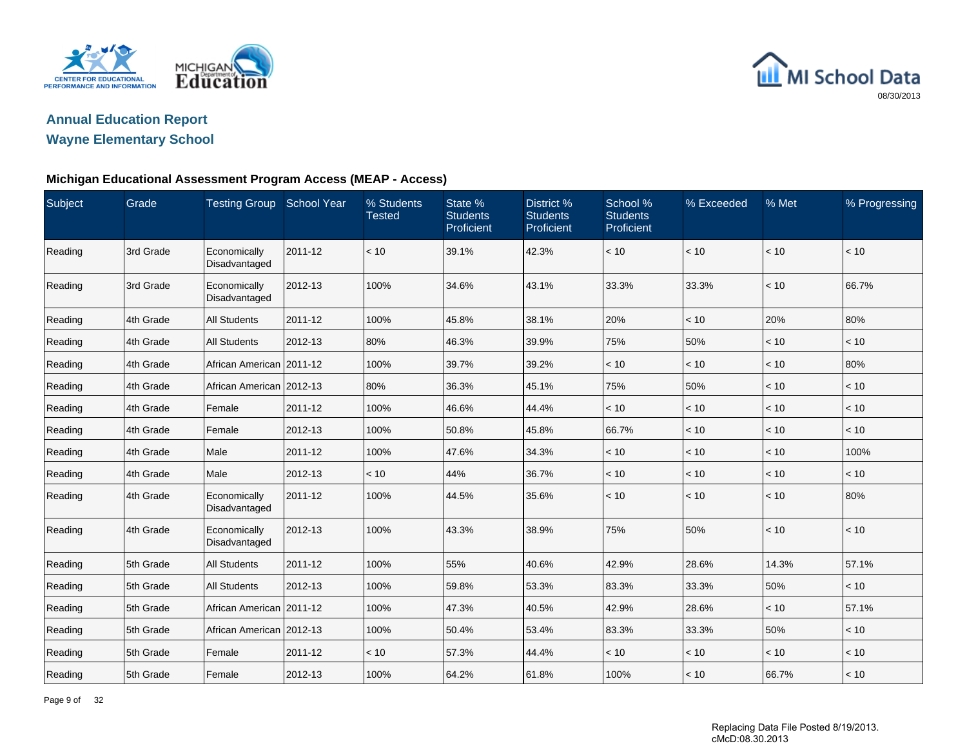



## **Wayne Elementary School**

| Subject | Grade     | Testing Group School Year     |         | % Students<br><b>Tested</b> | State %<br><b>Students</b><br>Proficient | District %<br><b>Students</b><br>Proficient | School %<br><b>Students</b><br>Proficient | % Exceeded | $%$ Met | % Progressing |
|---------|-----------|-------------------------------|---------|-----------------------------|------------------------------------------|---------------------------------------------|-------------------------------------------|------------|---------|---------------|
| Reading | 3rd Grade | Economically<br>Disadvantaged | 2011-12 | < 10                        | 39.1%                                    | 42.3%                                       | < 10                                      | < 10       | < 10    | < 10          |
| Reading | 3rd Grade | Economically<br>Disadvantaged | 2012-13 | 100%                        | 34.6%                                    | 43.1%                                       | 33.3%                                     | 33.3%      | < 10    | 66.7%         |
| Reading | 4th Grade | <b>All Students</b>           | 2011-12 | 100%                        | 45.8%                                    | 38.1%                                       | 20%                                       | < 10       | 20%     | 80%           |
| Reading | 4th Grade | <b>All Students</b>           | 2012-13 | 80%                         | 46.3%                                    | 39.9%                                       | 75%                                       | 50%        | < 10    | < 10          |
| Reading | 4th Grade | African American   2011-12    |         | 100%                        | 39.7%                                    | 39.2%                                       | < 10                                      | < 10       | < 10    | 80%           |
| Reading | 4th Grade | African American 2012-13      |         | 80%                         | 36.3%                                    | 45.1%                                       | 75%                                       | 50%        | < 10    | < 10          |
| Reading | 4th Grade | Female                        | 2011-12 | 100%                        | 46.6%                                    | 44.4%                                       | < 10                                      | < 10       | < 10    | < 10          |
| Reading | 4th Grade | Female                        | 2012-13 | 100%                        | 50.8%                                    | 45.8%                                       | 66.7%                                     | < 10       | < 10    | < 10          |
| Reading | 4th Grade | Male                          | 2011-12 | 100%                        | 47.6%                                    | 34.3%                                       | < 10                                      | < 10       | < 10    | 100%          |
| Reading | 4th Grade | Male                          | 2012-13 | < 10                        | 44%                                      | 36.7%                                       | < 10                                      | < 10       | $<10$   | < 10          |
| Reading | 4th Grade | Economically<br>Disadvantaged | 2011-12 | 100%                        | 44.5%                                    | 35.6%                                       | < 10                                      | < 10       | < 10    | 80%           |
| Reading | 4th Grade | Economically<br>Disadvantaged | 2012-13 | 100%                        | 43.3%                                    | 38.9%                                       | 75%                                       | 50%        | < 10    | < 10          |
| Reading | 5th Grade | <b>All Students</b>           | 2011-12 | 100%                        | 55%                                      | 40.6%                                       | 42.9%                                     | 28.6%      | 14.3%   | 57.1%         |
| Reading | 5th Grade | <b>All Students</b>           | 2012-13 | 100%                        | 59.8%                                    | 53.3%                                       | 83.3%                                     | 33.3%      | 50%     | < 10          |
| Reading | 5th Grade | African American   2011-12    |         | 100%                        | 47.3%                                    | 40.5%                                       | 42.9%                                     | 28.6%      | < 10    | 57.1%         |
| Reading | 5th Grade | African American 2012-13      |         | 100%                        | 50.4%                                    | 53.4%                                       | 83.3%                                     | 33.3%      | 50%     | < 10          |
| Reading | 5th Grade | Female                        | 2011-12 | < 10                        | 57.3%                                    | 44.4%                                       | < 10                                      | < 10       | < 10    | < 10          |
| Reading | 5th Grade | Female                        | 2012-13 | 100%                        | 64.2%                                    | 61.8%                                       | 100%                                      | < 10       | 66.7%   | < 10          |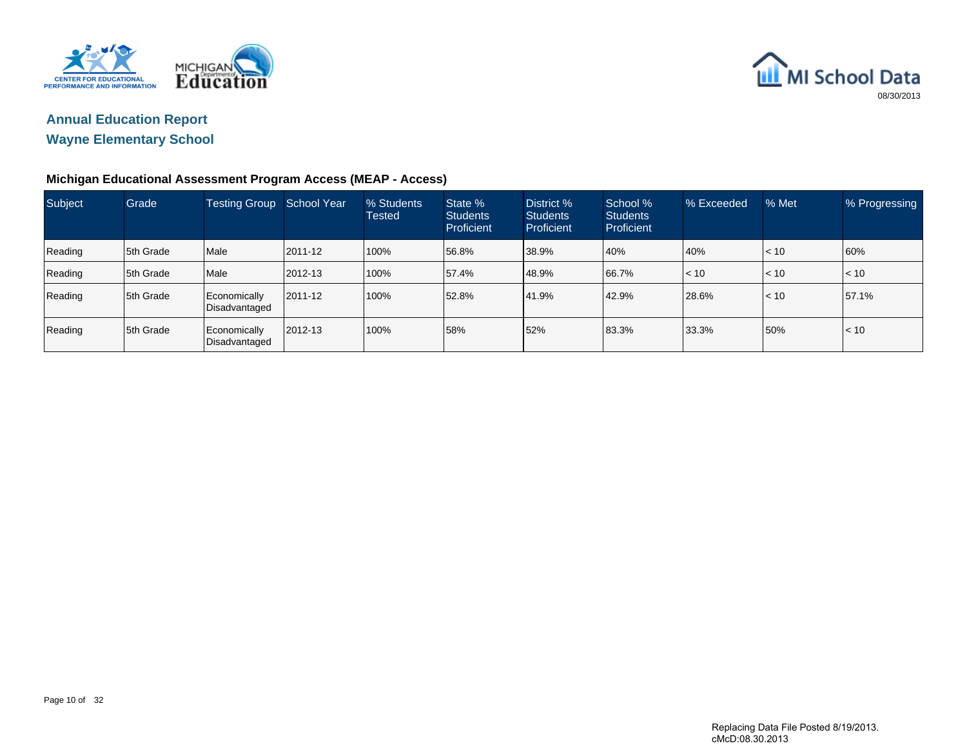



| Subject | Grade      | Testing Group School Year     |         | % Students<br><b>Tested</b> | State %<br><b>Students</b><br>Proficient | District %<br><b>Students</b><br>Proficient | School %<br><b>Students</b><br><b>Proficient</b> | % Exceeded   | % Met     | % Progressing |
|---------|------------|-------------------------------|---------|-----------------------------|------------------------------------------|---------------------------------------------|--------------------------------------------------|--------------|-----------|---------------|
| Reading | 15th Grade | Male                          | 2011-12 | 100%                        | 56.8%                                    | 38.9%                                       | 40%                                              | 40%          | $\leq 10$ | 60%           |
| Reading | 5th Grade  | Male                          | 2012-13 | 100%                        | 57.4%                                    | 48.9%                                       | 66.7%                                            | $\vert$ < 10 | $ $ < 10  | < 10          |
| Reading | 15th Grade | Economically<br>Disadvantaged | 2011-12 | 100%                        | 52.8%                                    | 41.9%                                       | 42.9%                                            | 28.6%        | $\leq 10$ | 57.1%         |
| Reading | 15th Grade | Economically<br>Disadvantaged | 2012-13 | 100%                        | 58%                                      | 52%                                         | 83.3%                                            | 33.3%        | 50%       | < 10          |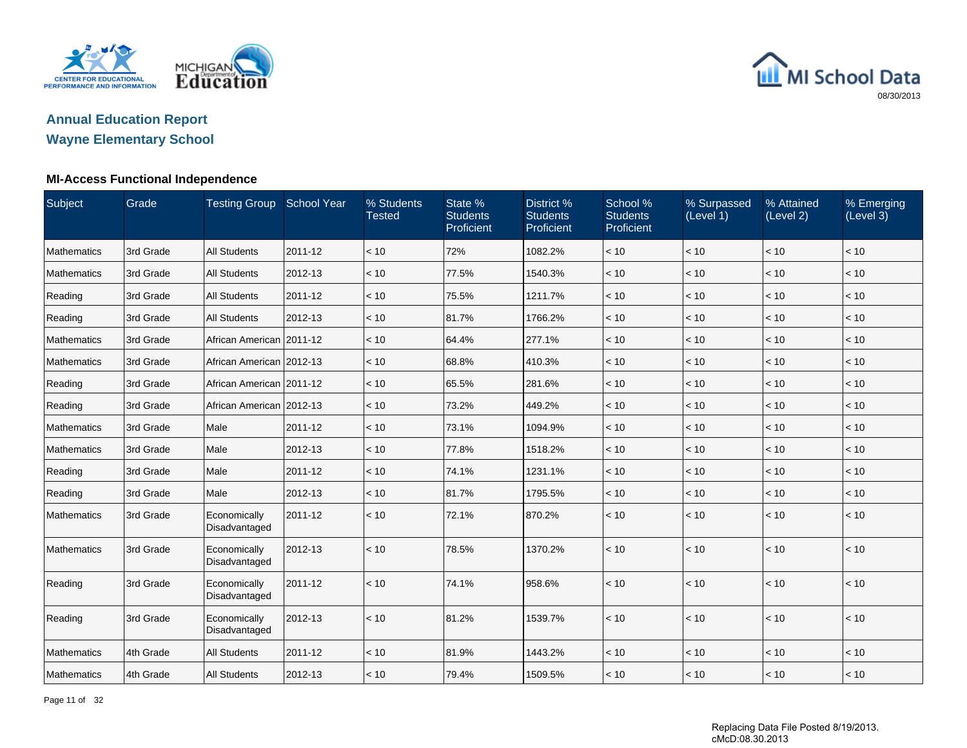

### **Annual Education ReportWayne Elementary School**

### **MI-Access Functional Independence**

| Subject            | Grade     | <b>Testing Group School Year</b> |         | % Students<br><b>Tested</b> | State %<br><b>Students</b><br>Proficient | District %<br><b>Students</b><br>Proficient | School %<br><b>Students</b><br>Proficient | % Surpassed<br>(Level 1) | % Attained<br>(Level 2) | % Emerging<br>(Level 3) |
|--------------------|-----------|----------------------------------|---------|-----------------------------|------------------------------------------|---------------------------------------------|-------------------------------------------|--------------------------|-------------------------|-------------------------|
| <b>Mathematics</b> | 3rd Grade | <b>All Students</b>              | 2011-12 | < 10                        | 72%                                      | 1082.2%                                     | < 10                                      | < 10                     | < 10                    | < 10                    |
| <b>Mathematics</b> | 3rd Grade | <b>All Students</b>              | 2012-13 | < 10                        | 77.5%                                    | 1540.3%                                     | < 10                                      | < 10                     | < 10                    | < 10                    |
| Reading            | 3rd Grade | <b>All Students</b>              | 2011-12 | < 10                        | 75.5%                                    | 1211.7%                                     | < 10                                      | < 10                     | < 10                    | < 10                    |
| Reading            | 3rd Grade | <b>All Students</b>              | 2012-13 | < 10                        | 81.7%                                    | 1766.2%                                     | < 10                                      | < 10                     | < 10                    | < 10                    |
| <b>Mathematics</b> | 3rd Grade | African American   2011-12       |         | < 10                        | 64.4%                                    | 277.1%                                      | < 10                                      | < 10                     | < 10                    | < 10                    |
| Mathematics        | 3rd Grade | African American   2012-13       |         | < 10                        | 68.8%                                    | 410.3%                                      | < 10                                      | < 10                     | < 10                    | < 10                    |
| Reading            | 3rd Grade | African American   2011-12       |         | < 10                        | 65.5%                                    | 281.6%                                      | < 10                                      | < 10                     | < 10                    | < 10                    |
| Reading            | 3rd Grade | African American 2012-13         |         | < 10                        | 73.2%                                    | 449.2%                                      | < 10                                      | < 10                     | < 10                    | < 10                    |
| <b>Mathematics</b> | 3rd Grade | Male                             | 2011-12 | < 10                        | 73.1%                                    | 1094.9%                                     | < 10                                      | < 10                     | < 10                    | < 10                    |
| <b>Mathematics</b> | 3rd Grade | Male                             | 2012-13 | < 10                        | 77.8%                                    | 1518.2%                                     | < 10                                      | < 10                     | < 10                    | < 10                    |
| Reading            | 3rd Grade | Male                             | 2011-12 | < 10                        | 74.1%                                    | 1231.1%                                     | < 10                                      | < 10                     | < 10                    | < 10                    |
| Reading            | 3rd Grade | Male                             | 2012-13 | < 10                        | 81.7%                                    | 1795.5%                                     | < 10                                      | < 10                     | < 10                    | < 10                    |
| Mathematics        | 3rd Grade | Economically<br>Disadvantaged    | 2011-12 | < 10                        | 72.1%                                    | 870.2%                                      | < 10                                      | < 10                     | < 10                    | < 10                    |
| <b>Mathematics</b> | 3rd Grade | Economically<br>Disadvantaged    | 2012-13 | < 10                        | 78.5%                                    | 1370.2%                                     | < 10                                      | < 10                     | < 10                    | < 10                    |
| Reading            | 3rd Grade | Economically<br>Disadvantaged    | 2011-12 | < 10                        | 74.1%                                    | 958.6%                                      | < 10                                      | < 10                     | < 10                    | < 10                    |
| Reading            | 3rd Grade | Economically<br>Disadvantaged    | 2012-13 | < 10                        | 81.2%                                    | 1539.7%                                     | < 10                                      | < 10                     | < 10                    | < 10                    |
| Mathematics        | 4th Grade | <b>All Students</b>              | 2011-12 | < 10                        | 81.9%                                    | 1443.2%                                     | < 10                                      | < 10                     | < 10                    | < 10                    |
| Mathematics        | 4th Grade | <b>All Students</b>              | 2012-13 | < 10                        | 79.4%                                    | 1509.5%                                     | < 10                                      | < 10                     | < 10                    | < 10                    |

Page 11 of 32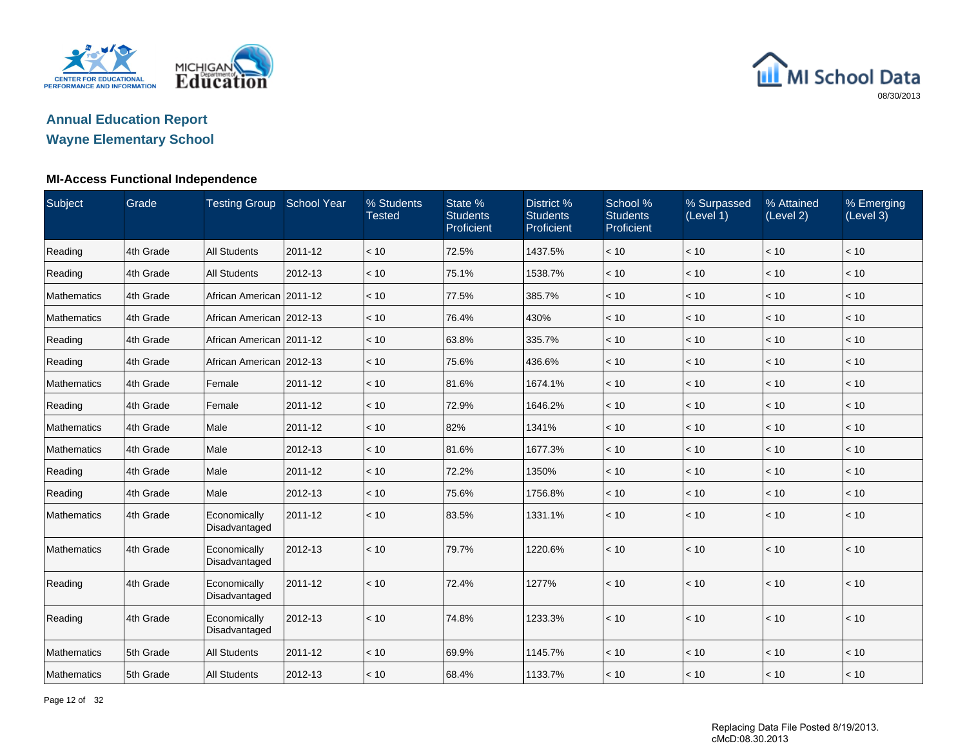



### **MI-Access Functional Independence**

| Subject     | Grade     | <b>Testing Group</b>          | <b>School Year</b> | % Students<br><b>Tested</b> | State %<br><b>Students</b><br>Proficient | District %<br><b>Students</b><br>Proficient | School %<br><b>Students</b><br>Proficient | % Surpassed<br>(Level 1) | % Attained<br>(Level 2) | % Emerging<br>(Level 3) |
|-------------|-----------|-------------------------------|--------------------|-----------------------------|------------------------------------------|---------------------------------------------|-------------------------------------------|--------------------------|-------------------------|-------------------------|
| Reading     | 4th Grade | <b>All Students</b>           | 2011-12            | < 10                        | 72.5%                                    | 1437.5%                                     | < 10                                      | < 10                     | < 10                    | < 10                    |
| Reading     | 4th Grade | <b>All Students</b>           | 2012-13            | < 10                        | 75.1%                                    | 1538.7%                                     | < 10                                      | < 10                     | < 10                    | < 10                    |
| Mathematics | 4th Grade | African American 2011-12      |                    | < 10                        | 77.5%                                    | 385.7%                                      | $<10$                                     | < 10                     | < 10                    | < 10                    |
| Mathematics | 4th Grade | African American   2012-13    |                    | < 10                        | 76.4%                                    | 430%                                        | < 10                                      | < 10                     | < 10                    | < 10                    |
| Reading     | 4th Grade | African American              | 2011-12            | < 10                        | 63.8%                                    | 335.7%                                      | < 10                                      | < 10                     | < 10                    | < 10                    |
| Reading     | 4th Grade | African American 2012-13      |                    | < 10                        | 75.6%                                    | 436.6%                                      | $<10$                                     | < 10                     | < 10                    | < 10                    |
| Mathematics | 4th Grade | Female                        | 2011-12            | < 10                        | 81.6%                                    | 1674.1%                                     | < 10                                      | < 10                     | < 10                    | < 10                    |
| Reading     | 4th Grade | Female                        | 2011-12            | < 10                        | 72.9%                                    | 1646.2%                                     | < 10                                      | < 10                     | < 10                    | < 10                    |
| Mathematics | 4th Grade | Male                          | 2011-12            | < 10                        | 82%                                      | 1341%                                       | < 10                                      | < 10                     | < 10                    | < 10                    |
| Mathematics | 4th Grade | Male                          | 2012-13            | < 10                        | 81.6%                                    | 1677.3%                                     | < 10                                      | < 10                     | < 10                    | < 10                    |
| Reading     | 4th Grade | Male                          | 2011-12            | < 10                        | 72.2%                                    | 1350%                                       | < 10                                      | < 10                     | < 10                    | < 10                    |
| Reading     | 4th Grade | Male                          | 2012-13            | < 10                        | 75.6%                                    | 1756.8%                                     | < 10                                      | < 10                     | < 10                    | < 10                    |
| Mathematics | 4th Grade | Economically<br>Disadvantaged | 2011-12            | < 10                        | 83.5%                                    | 1331.1%                                     | < 10                                      | < 10                     | < 10                    | < 10                    |
| Mathematics | 4th Grade | Economically<br>Disadvantaged | 2012-13            | < 10                        | 79.7%                                    | 1220.6%                                     | < 10                                      | < 10                     | < 10                    | < 10                    |
| Reading     | 4th Grade | Economically<br>Disadvantaged | 2011-12            | < 10                        | 72.4%                                    | 1277%                                       | < 10                                      | < 10                     | < 10                    | < 10                    |
| Reading     | 4th Grade | Economically<br>Disadvantaged | 2012-13            | < 10                        | 74.8%                                    | 1233.3%                                     | < 10                                      | < 10                     | < 10                    | < 10                    |
| Mathematics | 5th Grade | <b>All Students</b>           | 2011-12            | < 10                        | 69.9%                                    | 1145.7%                                     | < 10                                      | < 10                     | < 10                    | < 10                    |
| Mathematics | 5th Grade | <b>All Students</b>           | 2012-13            | < 10                        | 68.4%                                    | 1133.7%                                     | < 10                                      | < 10                     | < 10                    | < 10                    |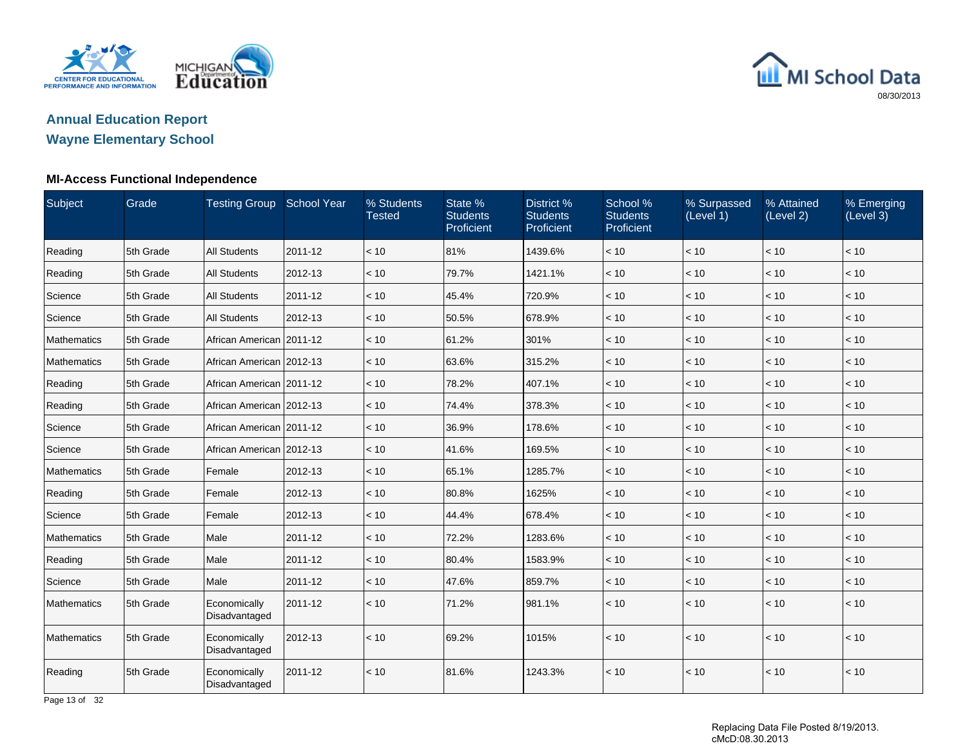



### **MI-Access Functional Independence**

| Subject            | Grade     | <b>Testing Group</b>          | <b>School Year</b> | % Students<br><b>Tested</b> | State %<br><b>Students</b><br>Proficient | District %<br><b>Students</b><br>Proficient | School %<br><b>Students</b><br>Proficient | % Surpassed<br>(Level 1) | % Attained<br>(Level 2) | % Emerging<br>(Level 3) |
|--------------------|-----------|-------------------------------|--------------------|-----------------------------|------------------------------------------|---------------------------------------------|-------------------------------------------|--------------------------|-------------------------|-------------------------|
| Reading            | 5th Grade | <b>All Students</b>           | 2011-12            | < 10                        | 81%                                      | 1439.6%                                     | < 10                                      | < 10                     | < 10                    | $<10$                   |
| Reading            | 5th Grade | <b>All Students</b>           | 2012-13            | < 10                        | 79.7%                                    | 1421.1%                                     | < 10                                      | < 10                     | < 10                    | < 10                    |
| Science            | 5th Grade | <b>All Students</b>           | 2011-12            | < 10                        | 45.4%                                    | 720.9%                                      | < 10                                      | < 10                     | < 10                    | < 10                    |
| Science            | 5th Grade | <b>All Students</b>           | 2012-13            | < 10                        | 50.5%                                    | 678.9%                                      | < 10                                      | < 10                     | < 10                    | < 10                    |
| Mathematics        | 5th Grade | African American   2011-12    |                    | < 10                        | 61.2%                                    | 301%                                        | < 10                                      | < 10                     | < 10                    | < 10                    |
| Mathematics        | 5th Grade | African American 2012-13      |                    | < 10                        | 63.6%                                    | 315.2%                                      | < 10                                      | < 10                     | < 10                    | < 10                    |
| Reading            | 5th Grade | African American 2011-12      |                    | < 10                        | 78.2%                                    | 407.1%                                      | < 10                                      | < 10                     | < 10                    | < 10                    |
| Reading            | 5th Grade | African American   2012-13    |                    | < 10                        | 74.4%                                    | 378.3%                                      | < 10                                      | < 10                     | < 10                    | $<10$                   |
| Science            | 5th Grade | African American 2011-12      |                    | < 10                        | 36.9%                                    | 178.6%                                      | < 10                                      | < 10                     | < 10                    | < 10                    |
| Science            | 5th Grade | African American 2012-13      |                    | < 10                        | 41.6%                                    | 169.5%                                      | < 10                                      | < 10                     | < 10                    | < 10                    |
| <b>Mathematics</b> | 5th Grade | Female                        | 2012-13            | < 10                        | 65.1%                                    | 1285.7%                                     | < 10                                      | < 10                     | < 10                    | < 10                    |
| Reading            | 5th Grade | Female                        | 2012-13            | < 10                        | 80.8%                                    | 1625%                                       | < 10                                      | < 10                     | < 10                    | $<10$                   |
| Science            | 5th Grade | Female                        | 2012-13            | < 10                        | 44.4%                                    | 678.4%                                      | < 10                                      | < 10                     | < 10                    | < 10                    |
| Mathematics        | 5th Grade | Male                          | 2011-12            | < 10                        | 72.2%                                    | 1283.6%                                     | < 10                                      | < 10                     | < 10                    | < 10                    |
| Reading            | 5th Grade | Male                          | 2011-12            | < 10                        | 80.4%                                    | 1583.9%                                     | < 10                                      | < 10                     | < 10                    | $<10$                   |
| Science            | 5th Grade | Male                          | 2011-12            | < 10                        | 47.6%                                    | 859.7%                                      | < 10                                      | < 10                     | < 10                    | < 10                    |
| <b>Mathematics</b> | 5th Grade | Economically<br>Disadvantaged | 2011-12            | < 10                        | 71.2%                                    | 981.1%                                      | < 10                                      | < 10                     | < 10                    | < 10                    |
| <b>Mathematics</b> | 5th Grade | Economically<br>Disadvantaged | 2012-13            | < 10                        | 69.2%                                    | 1015%                                       | < 10                                      | < 10                     | < 10                    | < 10                    |
| Reading            | 5th Grade | Economically<br>Disadvantaged | 2011-12            | < 10                        | 81.6%                                    | 1243.3%                                     | < 10                                      | < 10                     | < 10                    | < 10                    |

Page 13 of 32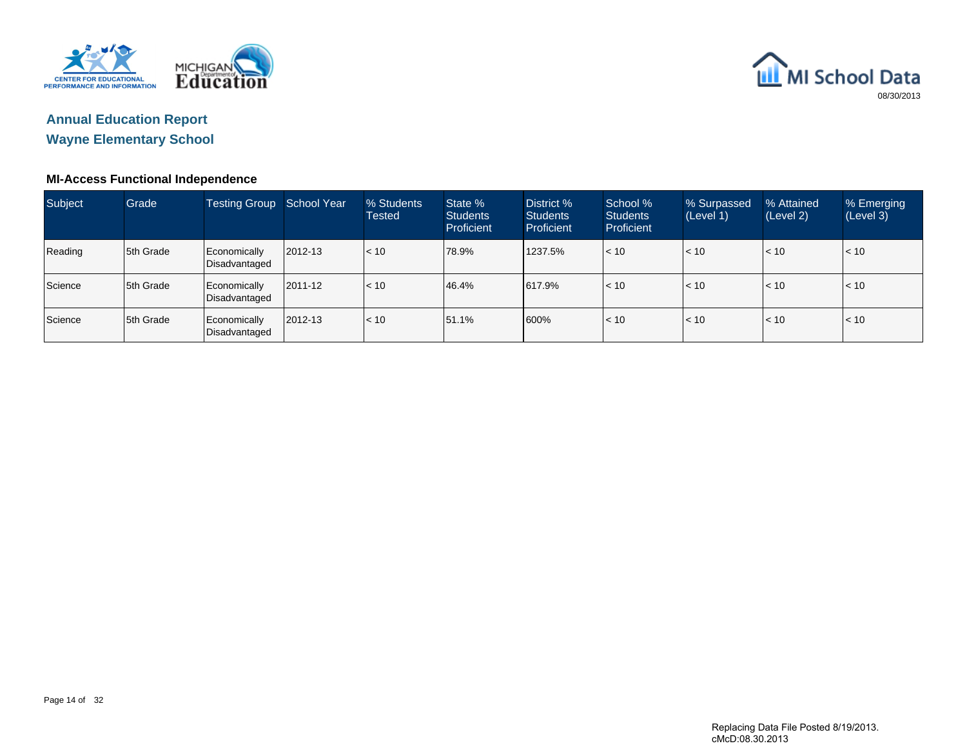



### **MI-Access Functional Independence**

| <b>Subject</b> | Grade      | <b>Testing Group</b> School Year |         | % Students<br><b>Tested</b> | State %<br><b>Students</b><br><b>Proficient</b> | District %<br><b>Students</b><br>Proficient | School %<br><b>Students</b><br><b>Proficient</b> | % Surpassed<br>(Level 1) | % Attained<br>(Level 2) | % Emerging<br>(Level 3) |
|----------------|------------|----------------------------------|---------|-----------------------------|-------------------------------------------------|---------------------------------------------|--------------------------------------------------|--------------------------|-------------------------|-------------------------|
| Reading        | 15th Grade | Economically<br>Disadvantaged    | 2012-13 | < 10                        | 78.9%                                           | 1237.5%                                     | < 10                                             | < 10                     | < 10                    | < 10                    |
| Science        | 15th Grade | Economically<br>Disadvantaged    | 2011-12 | < 10                        | 46.4%                                           | 617.9%                                      | < 10                                             | $\vert$ < 10             | $\leq 10$               | < 10                    |
| Science        | 15th Grade | Economically<br>Disadvantaged    | 2012-13 | < 10                        | 51.1%                                           | 600%                                        | $ $ < 10                                         | $\vert$ < 10             | < 10                    | < 10                    |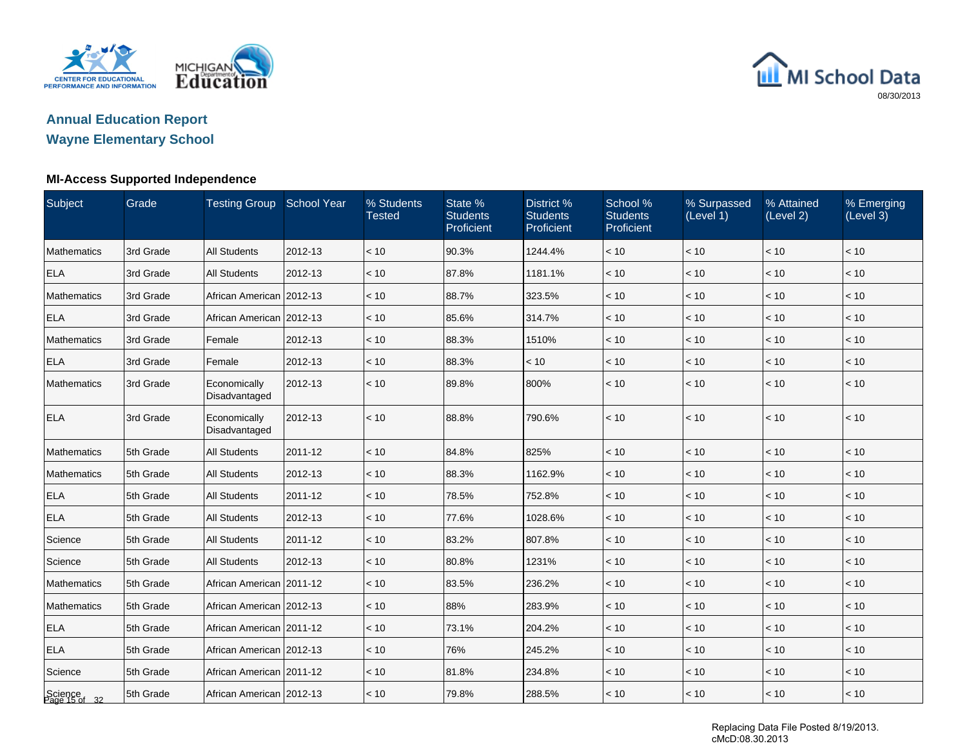



## **Wayne Elementary School**

### **MI-Access Supported Independence**

| Subject                  | Grade     | <b>Testing Group School Year</b> |         | % Students<br><b>Tested</b> | State %<br><b>Students</b><br>Proficient | District %<br><b>Students</b><br>Proficient | School %<br><b>Students</b><br>Proficient | % Surpassed<br>(Level 1) | % Attained<br>(Level 2) | % Emerging<br>(Level 3) |
|--------------------------|-----------|----------------------------------|---------|-----------------------------|------------------------------------------|---------------------------------------------|-------------------------------------------|--------------------------|-------------------------|-------------------------|
| <b>Mathematics</b>       | 3rd Grade | <b>All Students</b>              | 2012-13 | < 10                        | 90.3%                                    | 1244.4%                                     | < 10                                      | < 10                     | < 10                    | < 10                    |
| <b>ELA</b>               | 3rd Grade | <b>All Students</b>              | 2012-13 | < 10                        | 87.8%                                    | 1181.1%                                     | < 10                                      | < 10                     | < 10                    | < 10                    |
| Mathematics              | 3rd Grade | African American 2012-13         |         | < 10                        | 88.7%                                    | 323.5%                                      | < 10                                      | < 10                     | < 10                    | < 10                    |
| <b>ELA</b>               | 3rd Grade | African American 2012-13         |         | < 10                        | 85.6%                                    | 314.7%                                      | < 10                                      | < 10                     | < 10                    | < 10                    |
| Mathematics              | 3rd Grade | Female                           | 2012-13 | < 10                        | 88.3%                                    | 1510%                                       | < 10                                      | < 10                     | < 10                    | < 10                    |
| <b>ELA</b>               | 3rd Grade | Female                           | 2012-13 | < 10                        | 88.3%                                    | < 10                                        | < 10                                      | < 10                     | < 10                    | < 10                    |
| <b>Mathematics</b>       | 3rd Grade | Economically<br>Disadvantaged    | 2012-13 | < 10                        | 89.8%                                    | 800%                                        | < 10                                      | < 10                     | < 10                    | < 10                    |
| <b>ELA</b>               | 3rd Grade | Economically<br>Disadvantaged    | 2012-13 | < 10                        | 88.8%                                    | 790.6%                                      | < 10                                      | < 10                     | < 10                    | < 10                    |
| <b>Mathematics</b>       | 5th Grade | <b>All Students</b>              | 2011-12 | < 10                        | 84.8%                                    | 825%                                        | < 10                                      | < 10                     | < 10                    | < 10                    |
| Mathematics              | 5th Grade | <b>All Students</b>              | 2012-13 | < 10                        | 88.3%                                    | 1162.9%                                     | < 10                                      | < 10                     | < 10                    | < 10                    |
| <b>ELA</b>               | 5th Grade | <b>All Students</b>              | 2011-12 | < 10                        | 78.5%                                    | 752.8%                                      | < 10                                      | < 10                     | < 10                    | < 10                    |
| <b>ELA</b>               | 5th Grade | <b>All Students</b>              | 2012-13 | < 10                        | 77.6%                                    | 1028.6%                                     | < 10                                      | < 10                     | < 10                    | < 10                    |
| Science                  | 5th Grade | <b>All Students</b>              | 2011-12 | < 10                        | 83.2%                                    | 807.8%                                      | < 10                                      | < 10                     | < 10                    | < 10                    |
| Science                  | 5th Grade | <b>All Students</b>              | 2012-13 | < 10                        | 80.8%                                    | 1231%                                       | < 10                                      | < 10                     | $<10$                   | < 10                    |
| Mathematics              | 5th Grade | African American   2011-12       |         | $~<$ 10                     | 83.5%                                    | 236.2%                                      | < 10                                      | < 10                     | < 10                    | < 10                    |
| Mathematics              | 5th Grade | African American 2012-13         |         | < 10                        | 88%                                      | 283.9%                                      | < 10                                      | < 10                     | < 10                    | < 10                    |
| <b>ELA</b>               | 5th Grade | African American 2011-12         |         | < 10                        | 73.1%                                    | 204.2%                                      | < 10                                      | < 10                     | < 10                    | < 10                    |
| <b>ELA</b>               | 5th Grade | African American 2012-13         |         | < 10                        | 76%                                      | 245.2%                                      | < 10                                      | $<10$                    | < 10                    | < 10                    |
| Science                  | 5th Grade | African American 2011-12         |         | < 10                        | 81.8%                                    | 234.8%                                      | $<10$                                     | $<10$                    | $<10$                   | < 10                    |
| Science<br>Page 15 of 32 | 5th Grade | African American   2012-13       |         | < 10                        | 79.8%                                    | 288.5%                                      | < 10                                      | $ $ < 10                 | < 10                    | < 10                    |

Replacing Data File Posted 8/19/2013. cMcD:08.30.2013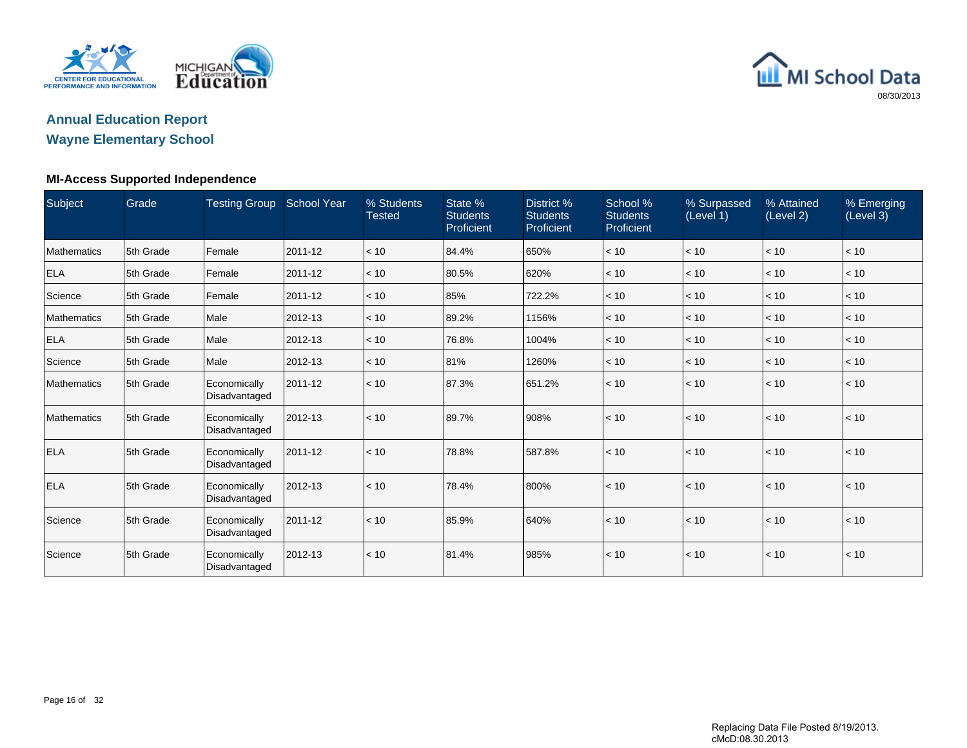

## **Annual Education Report**

## **Wayne Elementary School**

### **MI-Access Supported Independence**

| Subject            | Grade     | <b>Testing Group</b>          | <b>School Year</b> | % Students<br><b>Tested</b> | State %<br><b>Students</b><br>Proficient | District %<br><b>Students</b><br>Proficient | School %<br><b>Students</b><br>Proficient | % Surpassed<br>(Level 1) | % Attained<br>(Level 2) | % Emerging<br>(Level 3) |
|--------------------|-----------|-------------------------------|--------------------|-----------------------------|------------------------------------------|---------------------------------------------|-------------------------------------------|--------------------------|-------------------------|-------------------------|
| Mathematics        | 5th Grade | Female                        | 2011-12            | < 10                        | 84.4%                                    | 650%                                        | < 10                                      | $\vert$ < 10             | < 10                    | < 10                    |
| <b>ELA</b>         | 5th Grade | Female                        | 2011-12            | < 10                        | 80.5%                                    | 620%                                        | < 10                                      | $ $ < 10 $ $             | < 10                    | < 10                    |
| Science            | 5th Grade | Female                        | 2011-12            | < 10                        | 85%                                      | 722.2%                                      | < 10                                      | $ $ < 10                 | < 10                    | < 10                    |
| <b>Mathematics</b> | 5th Grade | Male                          | 2012-13            | < 10                        | 89.2%                                    | 1156%                                       | < 10                                      | $ $ < 10 $ $             | < 10                    | < 10                    |
| <b>ELA</b>         | 5th Grade | Male                          | 2012-13            | < 10                        | 76.8%                                    | 1004%                                       | < 10                                      | $ $ < 10                 | < 10                    | < 10                    |
| Science            | 5th Grade | Male                          | 2012-13            | < 10                        | 81%                                      | 1260%                                       | < 10                                      | $ $ < 10                 | < 10                    | < 10                    |
| Mathematics        | 5th Grade | Economically<br>Disadvantaged | 2011-12            | < 10                        | 87.3%                                    | 651.2%                                      | < 10                                      | $\vert$ < 10             | < 10                    | < 10                    |
| Mathematics        | 5th Grade | Economically<br>Disadvantaged | 2012-13            | < 10                        | 89.7%                                    | 908%                                        | < 10                                      | $\vert$ < 10             | < 10                    | < 10                    |
| <b>ELA</b>         | 5th Grade | Economically<br>Disadvantaged | 2011-12            | < 10                        | 78.8%                                    | 587.8%                                      | < 10                                      | $\vert$ < 10             | < 10                    | < 10                    |
| <b>ELA</b>         | 5th Grade | Economically<br>Disadvantaged | 2012-13            | < 10                        | 78.4%                                    | 800%                                        | < 10                                      | $\vert$ < 10             | < 10                    | < 10                    |
| Science            | 5th Grade | Economically<br>Disadvantaged | 2011-12            | < 10                        | 85.9%                                    | 640%                                        | < 10                                      | $\vert$ < 10             | < 10                    | < 10                    |
| Science            | 5th Grade | Economically<br>Disadvantaged | 2012-13            | < 10                        | 81.4%                                    | 985%                                        | < 10                                      | $\vert$ < 10             | < 10                    | < 10                    |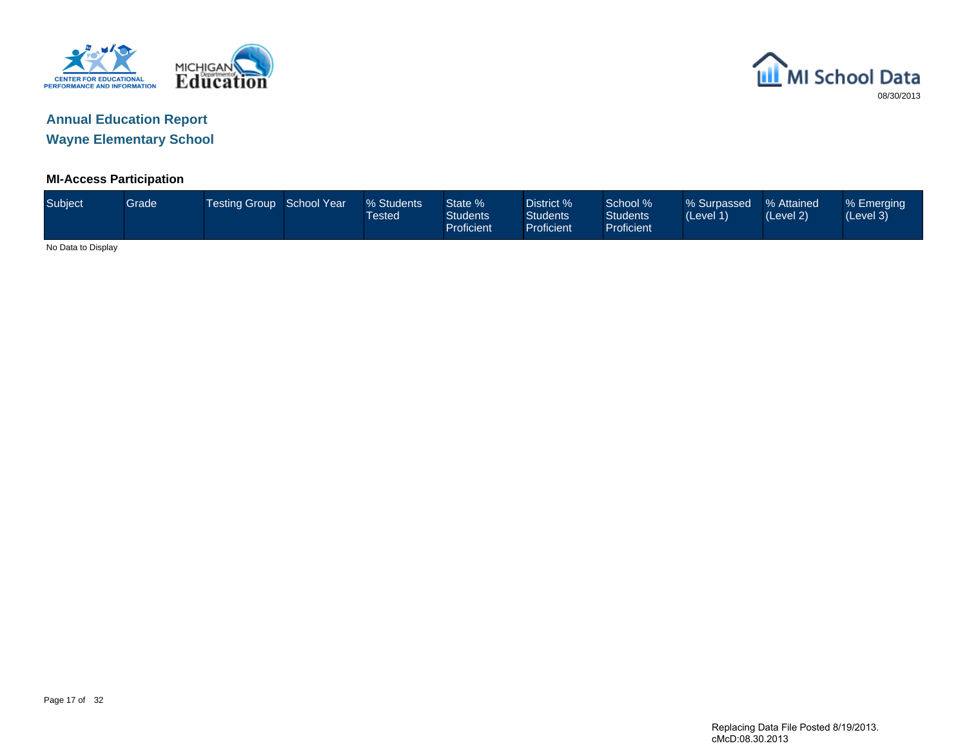



### **MI-Access Participation**

| <b>Subject</b>     | Grade | <b>Testing Group School Year</b> | % Students<br><b>Tested</b> | State %<br><b>Students</b><br>Proficient | District %<br><b>Students</b><br><b>Proficient</b> | School %<br><b>Students</b><br>Proficient | % Surpassed<br>(Level 1) | % Attained<br>(Level 2) | % Emerging<br>(Level 3) |
|--------------------|-------|----------------------------------|-----------------------------|------------------------------------------|----------------------------------------------------|-------------------------------------------|--------------------------|-------------------------|-------------------------|
| No Data to Display |       |                                  |                             |                                          |                                                    |                                           |                          |                         |                         |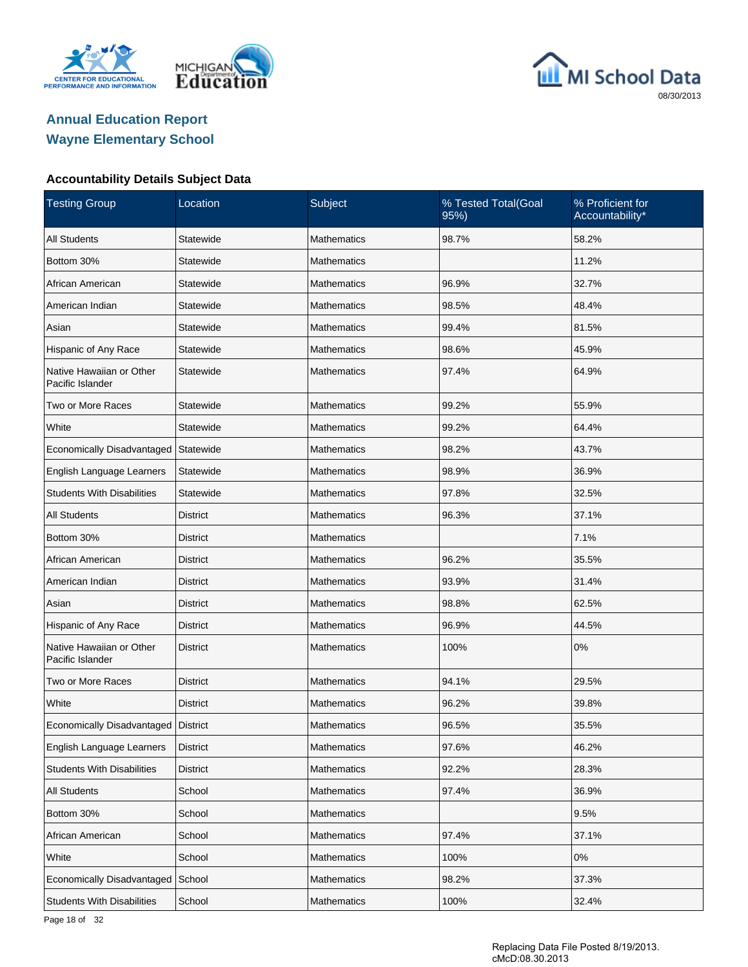





| <b>Testing Group</b>                         | Location        | Subject            | % Tested Total(Goal<br>95%) | % Proficient for<br>Accountability* |
|----------------------------------------------|-----------------|--------------------|-----------------------------|-------------------------------------|
| <b>All Students</b>                          | Statewide       | <b>Mathematics</b> | 98.7%                       | 58.2%                               |
| Bottom 30%                                   | Statewide       | Mathematics        |                             | 11.2%                               |
| African American                             | Statewide       | Mathematics        | 96.9%                       | 32.7%                               |
| American Indian                              | Statewide       | Mathematics        | 98.5%                       | 48.4%                               |
| Asian                                        | Statewide       | Mathematics        | 99.4%                       | 81.5%                               |
| Hispanic of Any Race                         | Statewide       | Mathematics        | 98.6%                       | 45.9%                               |
| Native Hawaiian or Other<br>Pacific Islander | Statewide       | Mathematics        | 97.4%                       | 64.9%                               |
| Two or More Races                            | Statewide       | <b>Mathematics</b> | 99.2%                       | 55.9%                               |
| White                                        | Statewide       | <b>Mathematics</b> | 99.2%                       | 64.4%                               |
| Economically Disadvantaged                   | Statewide       | <b>Mathematics</b> | 98.2%                       | 43.7%                               |
| English Language Learners                    | Statewide       | <b>Mathematics</b> | 98.9%                       | 36.9%                               |
| <b>Students With Disabilities</b>            | Statewide       | <b>Mathematics</b> | 97.8%                       | 32.5%                               |
| <b>All Students</b>                          | <b>District</b> | <b>Mathematics</b> | 96.3%                       | 37.1%                               |
| Bottom 30%                                   | <b>District</b> | <b>Mathematics</b> |                             | 7.1%                                |
| African American                             | <b>District</b> | <b>Mathematics</b> | 96.2%                       | 35.5%                               |
| American Indian                              | <b>District</b> | <b>Mathematics</b> | 93.9%                       | 31.4%                               |
| Asian                                        | <b>District</b> | <b>Mathematics</b> | 98.8%                       | 62.5%                               |
| Hispanic of Any Race                         | <b>District</b> | <b>Mathematics</b> | 96.9%                       | 44.5%                               |
| Native Hawaiian or Other<br>Pacific Islander | <b>District</b> | <b>Mathematics</b> | 100%                        | 0%                                  |
| Two or More Races                            | <b>District</b> | <b>Mathematics</b> | 94.1%                       | 29.5%                               |
| White                                        | <b>District</b> | <b>Mathematics</b> | 96.2%                       | 39.8%                               |
| Economically Disadvantaged   District        |                 | <b>Mathematics</b> | 96.5%                       | 35.5%                               |
| English Language Learners                    | District        | Mathematics        | 97.6%                       | 46.2%                               |
| <b>Students With Disabilities</b>            | <b>District</b> | Mathematics        | 92.2%                       | 28.3%                               |
| All Students                                 | School          | <b>Mathematics</b> | 97.4%                       | 36.9%                               |
| Bottom 30%                                   | School          | Mathematics        |                             | 9.5%                                |
| African American                             | School          | <b>Mathematics</b> | 97.4%                       | 37.1%                               |
| White                                        | School          | Mathematics        | 100%                        | 0%                                  |
| Economically Disadvantaged School            |                 | <b>Mathematics</b> | 98.2%                       | 37.3%                               |
| <b>Students With Disabilities</b>            | School          | Mathematics        | 100%                        | 32.4%                               |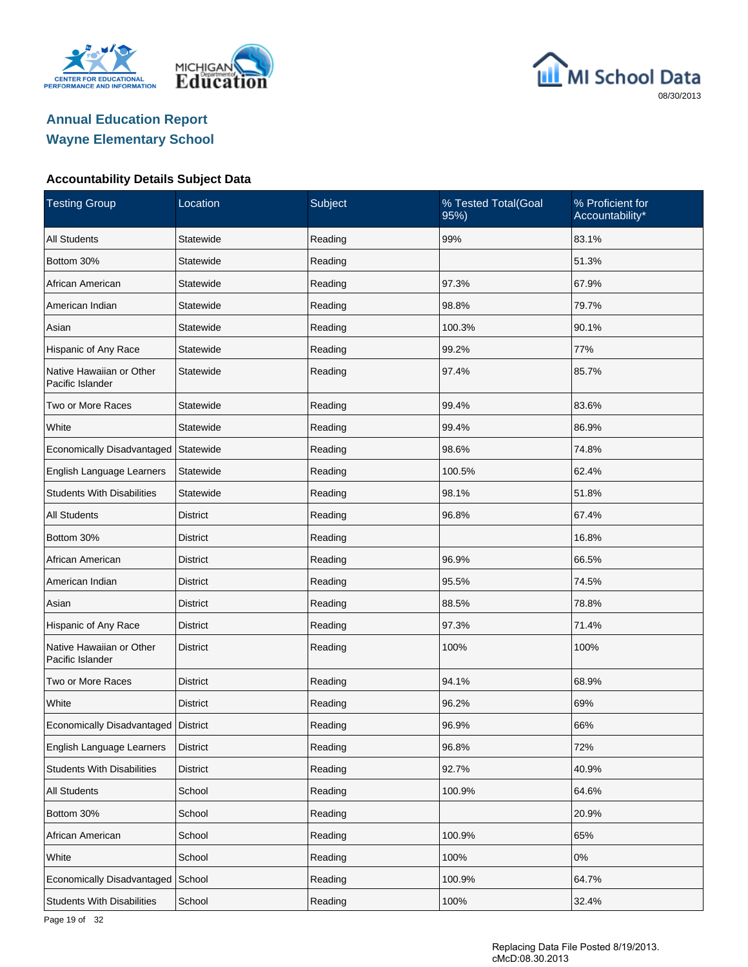





| <b>Testing Group</b>                         | Location        | Subject | % Tested Total(Goal<br>95%) | % Proficient for<br>Accountability* |
|----------------------------------------------|-----------------|---------|-----------------------------|-------------------------------------|
| <b>All Students</b>                          | Statewide       | Reading | 99%                         | 83.1%                               |
| Bottom 30%                                   | Statewide       | Reading |                             | 51.3%                               |
| African American                             | Statewide       | Reading | 97.3%                       | 67.9%                               |
| American Indian                              | Statewide       | Reading | 98.8%                       | 79.7%                               |
| Asian                                        | Statewide       | Reading | 100.3%                      | 90.1%                               |
| Hispanic of Any Race                         | Statewide       | Reading | 99.2%                       | 77%                                 |
| Native Hawaiian or Other<br>Pacific Islander | Statewide       | Reading | 97.4%                       | 85.7%                               |
| Two or More Races                            | Statewide       | Reading | 99.4%                       | 83.6%                               |
| White                                        | Statewide       | Reading | 99.4%                       | 86.9%                               |
| <b>Economically Disadvantaged</b>            | Statewide       | Reading | 98.6%                       | 74.8%                               |
| English Language Learners                    | Statewide       | Reading | 100.5%                      | 62.4%                               |
| <b>Students With Disabilities</b>            | Statewide       | Reading | 98.1%                       | 51.8%                               |
| <b>All Students</b>                          | <b>District</b> | Reading | 96.8%                       | 67.4%                               |
| Bottom 30%                                   | <b>District</b> | Reading |                             | 16.8%                               |
| African American                             | <b>District</b> | Reading | 96.9%                       | 66.5%                               |
| American Indian                              | <b>District</b> | Reading | 95.5%                       | 74.5%                               |
| Asian                                        | <b>District</b> | Reading | 88.5%                       | 78.8%                               |
| Hispanic of Any Race                         | <b>District</b> | Reading | 97.3%                       | 71.4%                               |
| Native Hawaiian or Other<br>Pacific Islander | <b>District</b> | Reading | 100%                        | 100%                                |
| Two or More Races                            | <b>District</b> | Reading | 94.1%                       | 68.9%                               |
| White                                        | <b>District</b> | Reading | 96.2%                       | 69%                                 |
| Economically Disadvantaged   District        |                 | Reading | 96.9%                       | 66%                                 |
| English Language Learners                    | District        | Reading | 96.8%                       | 72%                                 |
| <b>Students With Disabilities</b>            | <b>District</b> | Reading | 92.7%                       | 40.9%                               |
| All Students                                 | School          | Reading | 100.9%                      | 64.6%                               |
| Bottom 30%                                   | School          | Reading |                             | 20.9%                               |
| African American                             | School          | Reading | 100.9%                      | 65%                                 |
| White                                        | School          | Reading | 100%                        | 0%                                  |
| Economically Disadvantaged School            |                 | Reading | 100.9%                      | 64.7%                               |
| <b>Students With Disabilities</b>            | School          | Reading | 100%                        | 32.4%                               |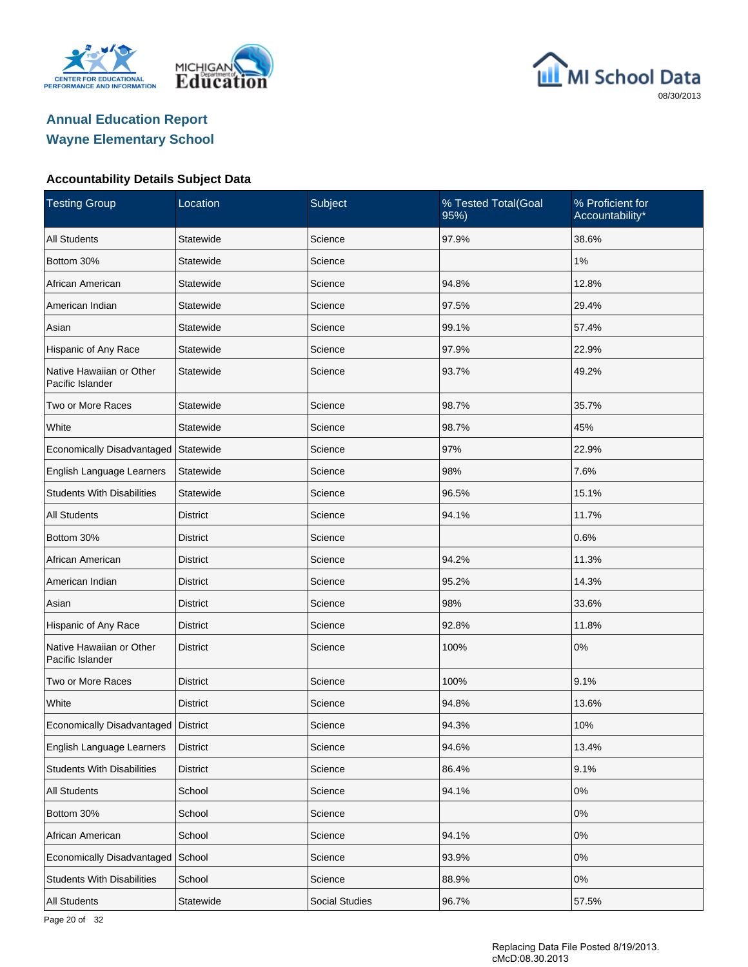





| <b>Testing Group</b>                         | Location        | Subject               | % Tested Total(Goal<br>95%) | % Proficient for<br>Accountability* |
|----------------------------------------------|-----------------|-----------------------|-----------------------------|-------------------------------------|
| <b>All Students</b>                          | Statewide       | Science               | 97.9%                       | 38.6%                               |
| Bottom 30%                                   | Statewide       | Science               |                             | 1%                                  |
| African American                             | Statewide       | Science               | 94.8%                       | 12.8%                               |
| American Indian                              | Statewide       | Science               | 97.5%                       | 29.4%                               |
| Asian                                        | Statewide       | Science               | 99.1%                       | 57.4%                               |
| Hispanic of Any Race                         | Statewide       | Science               | 97.9%                       | 22.9%                               |
| Native Hawaiian or Other<br>Pacific Islander | Statewide       | Science               | 93.7%                       | 49.2%                               |
| Two or More Races                            | Statewide       | Science               | 98.7%                       | 35.7%                               |
| White                                        | Statewide       | Science               | 98.7%                       | 45%                                 |
| Economically Disadvantaged                   | Statewide       | Science               | 97%                         | 22.9%                               |
| English Language Learners                    | Statewide       | Science               | 98%                         | 7.6%                                |
| <b>Students With Disabilities</b>            | Statewide       | Science               | 96.5%                       | 15.1%                               |
| <b>All Students</b>                          | <b>District</b> | Science               | 94.1%                       | 11.7%                               |
| Bottom 30%                                   | <b>District</b> | Science               |                             | 0.6%                                |
| African American                             | <b>District</b> | Science               | 94.2%                       | 11.3%                               |
| American Indian                              | <b>District</b> | Science               | 95.2%                       | 14.3%                               |
| Asian                                        | <b>District</b> | Science               | 98%                         | 33.6%                               |
| Hispanic of Any Race                         | <b>District</b> | Science               | 92.8%                       | 11.8%                               |
| Native Hawaiian or Other<br>Pacific Islander | <b>District</b> | Science               | 100%                        | 0%                                  |
| Two or More Races                            | <b>District</b> | Science               | 100%                        | 9.1%                                |
| White                                        | <b>District</b> | Science               | 94.8%                       | 13.6%                               |
| Economically Disadvantaged   District        |                 | Science               | 94.3%                       | 10%                                 |
| English Language Learners                    | <b>District</b> | Science               | 94.6%                       | 13.4%                               |
| <b>Students With Disabilities</b>            | <b>District</b> | Science               | 86.4%                       | 9.1%                                |
| All Students                                 | School          | Science               | 94.1%                       | 0%                                  |
| Bottom 30%                                   | School          | Science               |                             | $0\%$                               |
| African American                             | School          | Science               | 94.1%                       | $0\%$                               |
| Economically Disadvantaged School            |                 | Science               | 93.9%                       | 0%                                  |
| <b>Students With Disabilities</b>            | School          | Science               | 88.9%                       | 0%                                  |
| All Students                                 | Statewide       | <b>Social Studies</b> | 96.7%                       | 57.5%                               |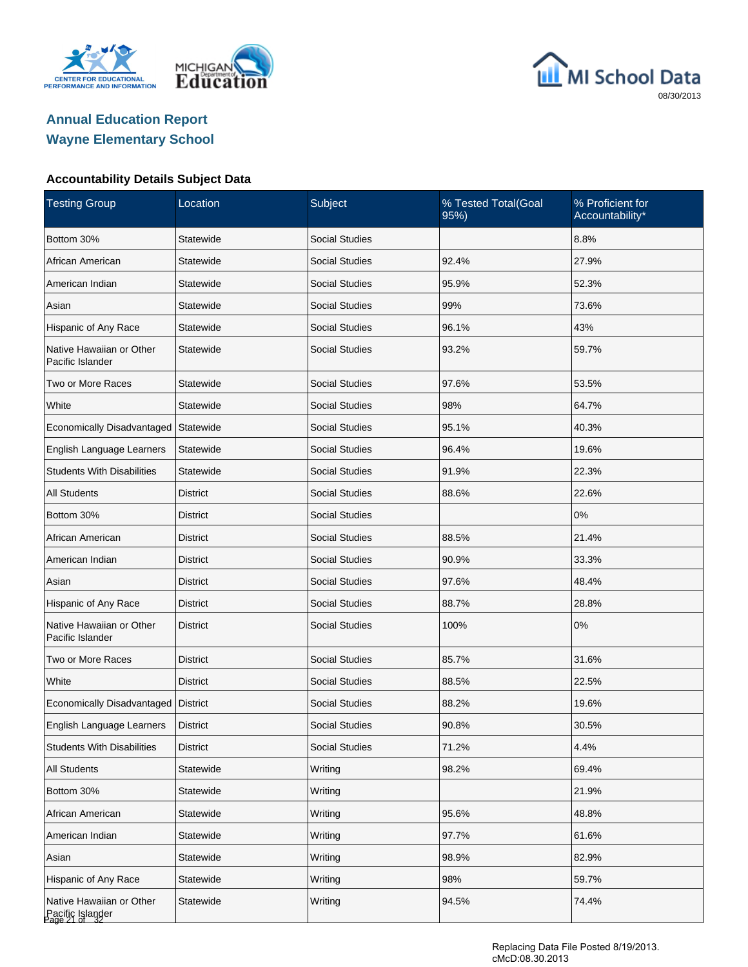





| <b>Testing Group</b>                                          | Location        | Subject               | % Tested Total(Goal<br>95%) | % Proficient for<br>Accountability* |
|---------------------------------------------------------------|-----------------|-----------------------|-----------------------------|-------------------------------------|
| Bottom 30%                                                    | Statewide       | <b>Social Studies</b> |                             | 8.8%                                |
| African American                                              | Statewide       | <b>Social Studies</b> | 92.4%                       | 27.9%                               |
| American Indian                                               | Statewide       | <b>Social Studies</b> | 95.9%                       | 52.3%                               |
| Asian                                                         | Statewide       | <b>Social Studies</b> | 99%                         | 73.6%                               |
| Hispanic of Any Race                                          | Statewide       | <b>Social Studies</b> | 96.1%                       | 43%                                 |
| Native Hawaiian or Other<br>Pacific Islander                  | Statewide       | <b>Social Studies</b> | 93.2%                       | 59.7%                               |
| Two or More Races                                             | Statewide       | <b>Social Studies</b> | 97.6%                       | 53.5%                               |
| White                                                         | Statewide       | <b>Social Studies</b> | 98%                         | 64.7%                               |
| Economically Disadvantaged                                    | Statewide       | <b>Social Studies</b> | 95.1%                       | 40.3%                               |
| English Language Learners                                     | Statewide       | <b>Social Studies</b> | 96.4%                       | 19.6%                               |
| <b>Students With Disabilities</b>                             | Statewide       | <b>Social Studies</b> | 91.9%                       | 22.3%                               |
| <b>All Students</b>                                           | <b>District</b> | <b>Social Studies</b> | 88.6%                       | 22.6%                               |
| Bottom 30%                                                    | District        | <b>Social Studies</b> |                             | 0%                                  |
| African American                                              | <b>District</b> | <b>Social Studies</b> | 88.5%                       | 21.4%                               |
| American Indian                                               | <b>District</b> | <b>Social Studies</b> | 90.9%                       | 33.3%                               |
| Asian                                                         | <b>District</b> | <b>Social Studies</b> | 97.6%                       | 48.4%                               |
| Hispanic of Any Race                                          | <b>District</b> | <b>Social Studies</b> | 88.7%                       | 28.8%                               |
| Native Hawaiian or Other<br>Pacific Islander                  | <b>District</b> | <b>Social Studies</b> | 100%                        | 0%                                  |
| Two or More Races                                             | <b>District</b> | <b>Social Studies</b> | 85.7%                       | 31.6%                               |
| White                                                         | <b>District</b> | <b>Social Studies</b> | 88.5%                       | 22.5%                               |
| Economically Disadvantaged                                    | <b>District</b> | <b>Social Studies</b> | 88.2%                       | 19.6%                               |
| English Language Learners                                     | <b>District</b> | <b>Social Studies</b> | 90.8%                       | 30.5%                               |
| <b>Students With Disabilities</b>                             | <b>District</b> | <b>Social Studies</b> | 71.2%                       | 4.4%                                |
| <b>All Students</b>                                           | Statewide       | Writing               | 98.2%                       | 69.4%                               |
| Bottom 30%                                                    | Statewide       | Writing               |                             | 21.9%                               |
| African American                                              | Statewide       | Writing               | 95.6%                       | 48.8%                               |
| American Indian                                               | Statewide       | Writing               | 97.7%                       | 61.6%                               |
| Asian                                                         | Statewide       | Writing               | 98.9%                       | 82.9%                               |
| Hispanic of Any Race                                          | Statewide       | Writing               | 98%                         | 59.7%                               |
| Native Hawaiian or Other<br>Pacific Islander<br>Page 21 of 32 | Statewide       | Writing               | 94.5%                       | 74.4%                               |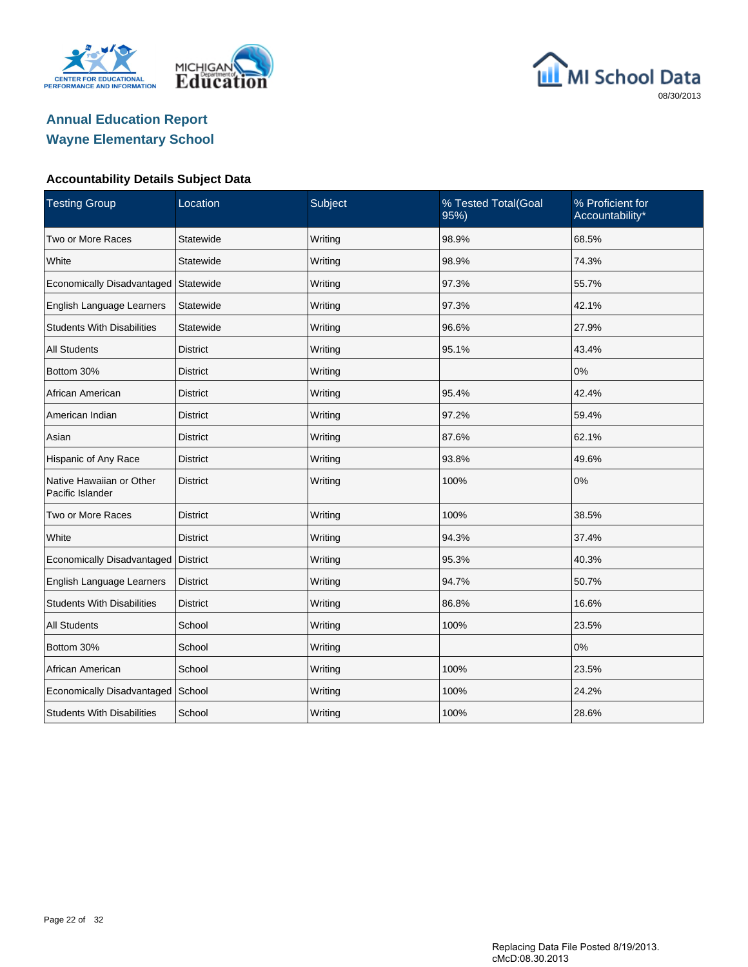





| <b>Testing Group</b>                         | Location        | Subject | % Tested Total(Goal<br>95%) | % Proficient for<br>Accountability* |
|----------------------------------------------|-----------------|---------|-----------------------------|-------------------------------------|
| Two or More Races                            | Statewide       | Writing | 98.9%                       | 68.5%                               |
| White                                        | Statewide       | Writing | 98.9%                       | 74.3%                               |
| Economically Disadvantaged                   | Statewide       | Writing | 97.3%                       | 55.7%                               |
| English Language Learners                    | Statewide       | Writing | 97.3%                       | 42.1%                               |
| <b>Students With Disabilities</b>            | Statewide       | Writing | 96.6%                       | 27.9%                               |
| <b>All Students</b>                          | <b>District</b> | Writing | 95.1%                       | 43.4%                               |
| Bottom 30%                                   | <b>District</b> | Writing |                             | 0%                                  |
| African American                             | <b>District</b> | Writing | 95.4%                       | 42.4%                               |
| American Indian                              | <b>District</b> | Writing | 97.2%                       | 59.4%                               |
| Asian                                        | <b>District</b> | Writing | 87.6%                       | 62.1%                               |
| Hispanic of Any Race                         | <b>District</b> | Writing | 93.8%                       | 49.6%                               |
| Native Hawaiian or Other<br>Pacific Islander | <b>District</b> | Writing | 100%                        | 0%                                  |
| Two or More Races                            | <b>District</b> | Writing | 100%                        | 38.5%                               |
| White                                        | <b>District</b> | Writing | 94.3%                       | 37.4%                               |
| Economically Disadvantaged                   | District        | Writing | 95.3%                       | 40.3%                               |
| English Language Learners                    | <b>District</b> | Writing | 94.7%                       | 50.7%                               |
| <b>Students With Disabilities</b>            | <b>District</b> | Writing | 86.8%                       | 16.6%                               |
| <b>All Students</b>                          | School          | Writing | 100%                        | 23.5%                               |
| Bottom 30%                                   | School          | Writing |                             | 0%                                  |
| African American                             | School          | Writing | 100%                        | 23.5%                               |
| Economically Disadvantaged School            |                 | Writing | 100%                        | 24.2%                               |
| <b>Students With Disabilities</b>            | School          | Writing | 100%                        | 28.6%                               |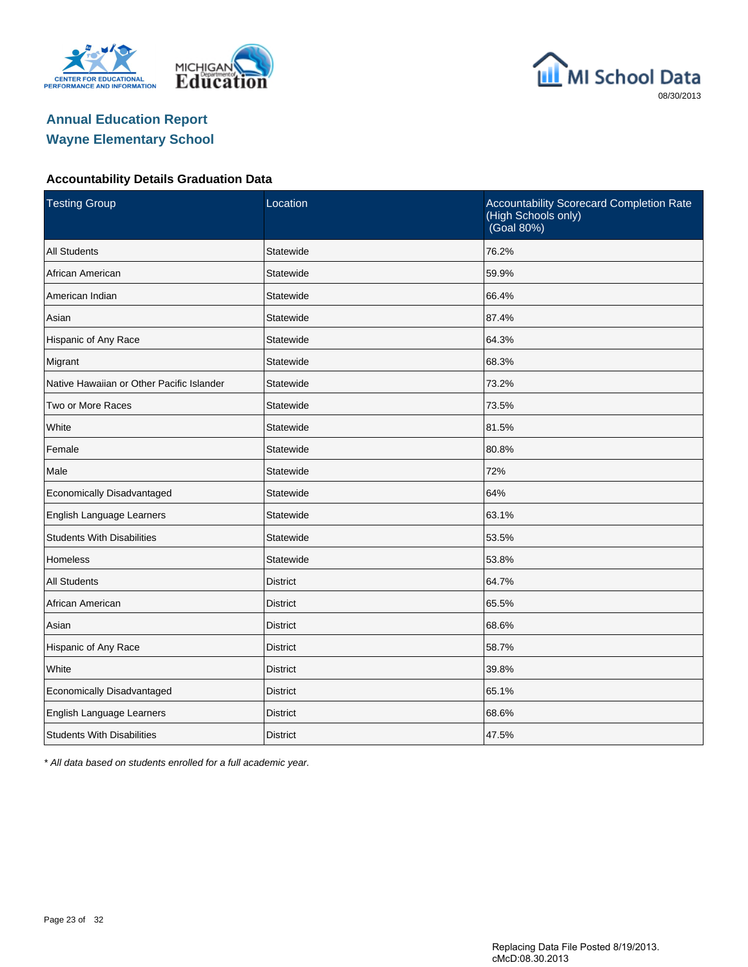





#### **Accountability Details Graduation Data**

| <b>Testing Group</b>                      | Location        | Accountability Scorecard Completion Rate<br>(High Schools only)<br>(Goal 80%) |
|-------------------------------------------|-----------------|-------------------------------------------------------------------------------|
| <b>All Students</b>                       | Statewide       | 76.2%                                                                         |
| African American                          | Statewide       | 59.9%                                                                         |
| American Indian                           | Statewide       | 66.4%                                                                         |
| Asian                                     | Statewide       | 87.4%                                                                         |
| Hispanic of Any Race                      | Statewide       | 64.3%                                                                         |
| Migrant                                   | Statewide       | 68.3%                                                                         |
| Native Hawaiian or Other Pacific Islander | Statewide       | 73.2%                                                                         |
| Two or More Races                         | Statewide       | 73.5%                                                                         |
| White                                     | Statewide       | 81.5%                                                                         |
| Female                                    | Statewide       | 80.8%                                                                         |
| Male                                      | Statewide       | 72%                                                                           |
| Economically Disadvantaged                | Statewide       | 64%                                                                           |
| English Language Learners                 | Statewide       | 63.1%                                                                         |
| <b>Students With Disabilities</b>         | Statewide       | 53.5%                                                                         |
| <b>Homeless</b>                           | Statewide       | 53.8%                                                                         |
| <b>All Students</b>                       | <b>District</b> | 64.7%                                                                         |
| African American                          | <b>District</b> | 65.5%                                                                         |
| Asian                                     | <b>District</b> | 68.6%                                                                         |
| Hispanic of Any Race                      | <b>District</b> | 58.7%                                                                         |
| White                                     | <b>District</b> | 39.8%                                                                         |
| Economically Disadvantaged                | <b>District</b> | 65.1%                                                                         |
| English Language Learners                 | <b>District</b> | 68.6%                                                                         |
| <b>Students With Disabilities</b>         | <b>District</b> | 47.5%                                                                         |

\* All data based on students enrolled for a full academic year.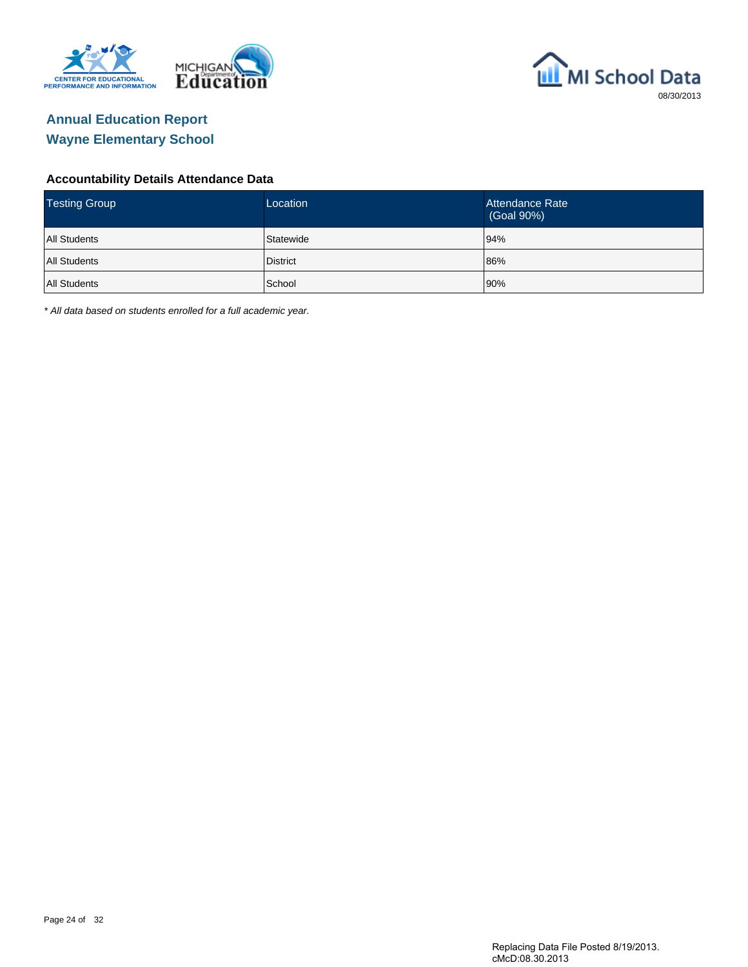



#### **Accountability Details Attendance Data**

| <b>Testing Group</b> | Location        | Attendance Rate<br>(Goal 90%) |
|----------------------|-----------------|-------------------------------|
| <b>All Students</b>  | Statewide       | 94%                           |
| <b>All Students</b>  | <b>District</b> | 86%                           |
| <b>All Students</b>  | School          | 90%                           |

\* All data based on students enrolled for a full academic year.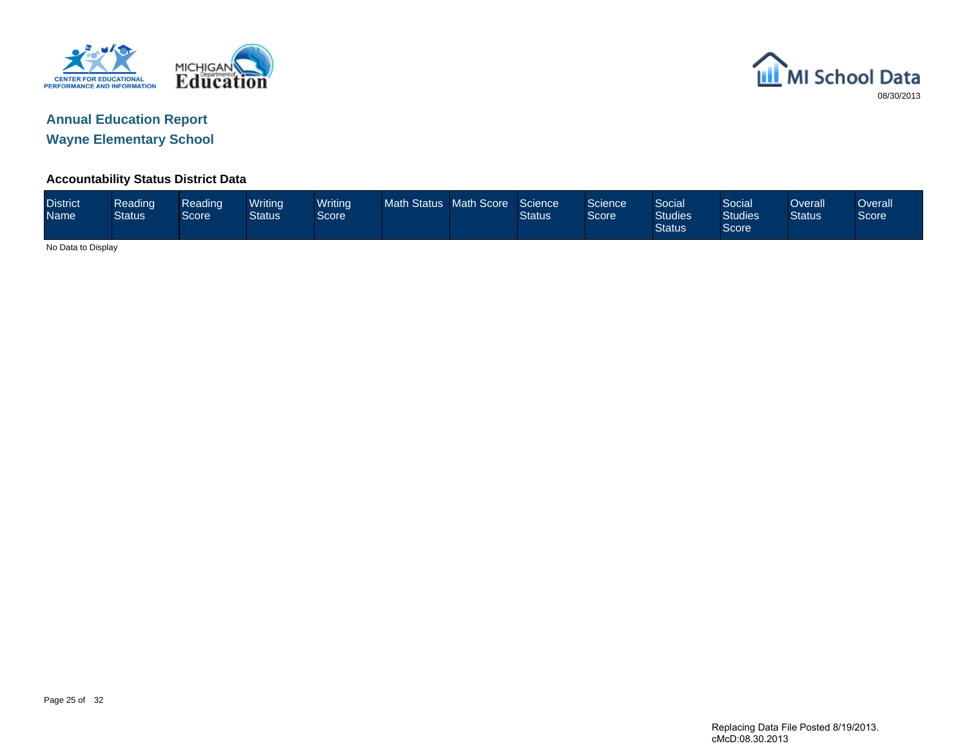



### **Accountability Status District Data**

| <b>District</b><br><b>Name</b> | Reading<br><b>Status</b> | Reading<br>Score | Writing<br><b>Status</b> | <b>Writing</b><br>Score | Math Status Math Score |  | Science<br>Status | Science <sup>1</sup><br>Score <sup>1</sup> | Social<br><b>Studies</b><br><b>Status</b> | Social<br><b>Studies</b><br>Score | Overall<br><b>Status</b> | Overallˈ<br>Score |
|--------------------------------|--------------------------|------------------|--------------------------|-------------------------|------------------------|--|-------------------|--------------------------------------------|-------------------------------------------|-----------------------------------|--------------------------|-------------------|
| No Data to Display             |                          |                  |                          |                         |                        |  |                   |                                            |                                           |                                   |                          |                   |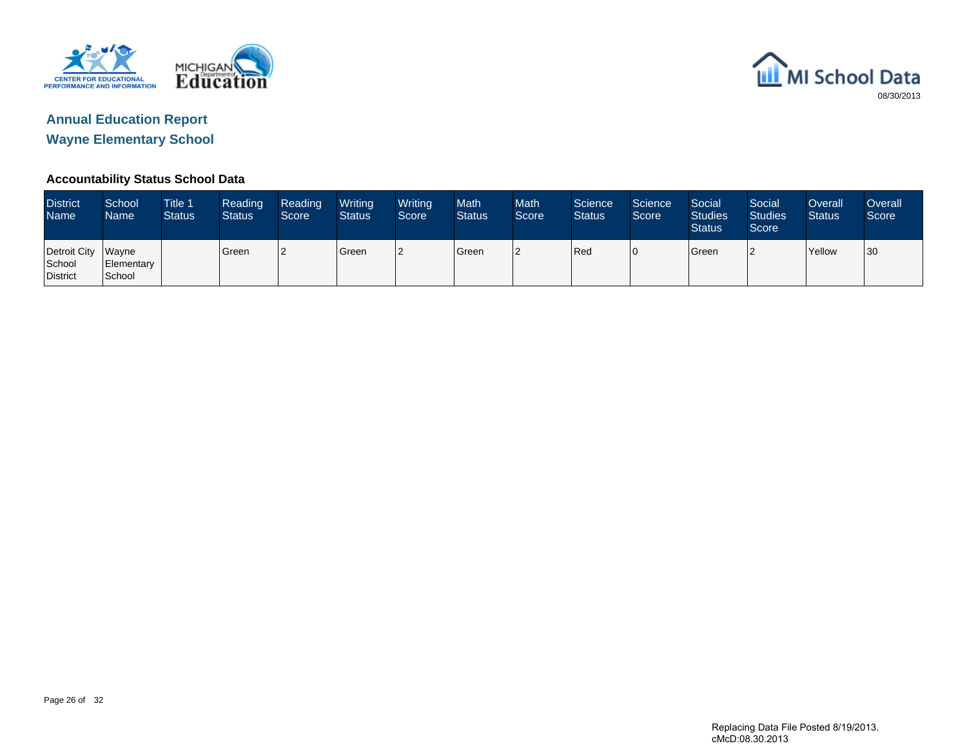



### **Accountability Status School Data**

| <b>District</b><br><b>Name</b>           | School<br>Name       | <b>Title 1</b><br><b>Status</b> | Reading<br><b>Status</b> | Reading<br>Score | Writing<br><b>Status</b> | Writing<br>Score | <b>Math</b><br><b>Status</b> | <b>Math</b><br>Score | Science<br><b>Status</b> | Science<br>Score | Social<br><b>Studies</b><br><b>Status</b> | Social<br><b>Studies</b><br>Score | Overall<br><b>Status</b> | Overall<br>Score |
|------------------------------------------|----------------------|---------------------------------|--------------------------|------------------|--------------------------|------------------|------------------------------|----------------------|--------------------------|------------------|-------------------------------------------|-----------------------------------|--------------------------|------------------|
| Detroit City Wayne<br>School<br>District | Elementary<br>School |                                 | l Green                  |                  | <b>Green</b>             | 12               | Green                        | l2                   | Red                      | 10               | <b>Green</b>                              |                                   | <b>Yellow</b>            | 30               |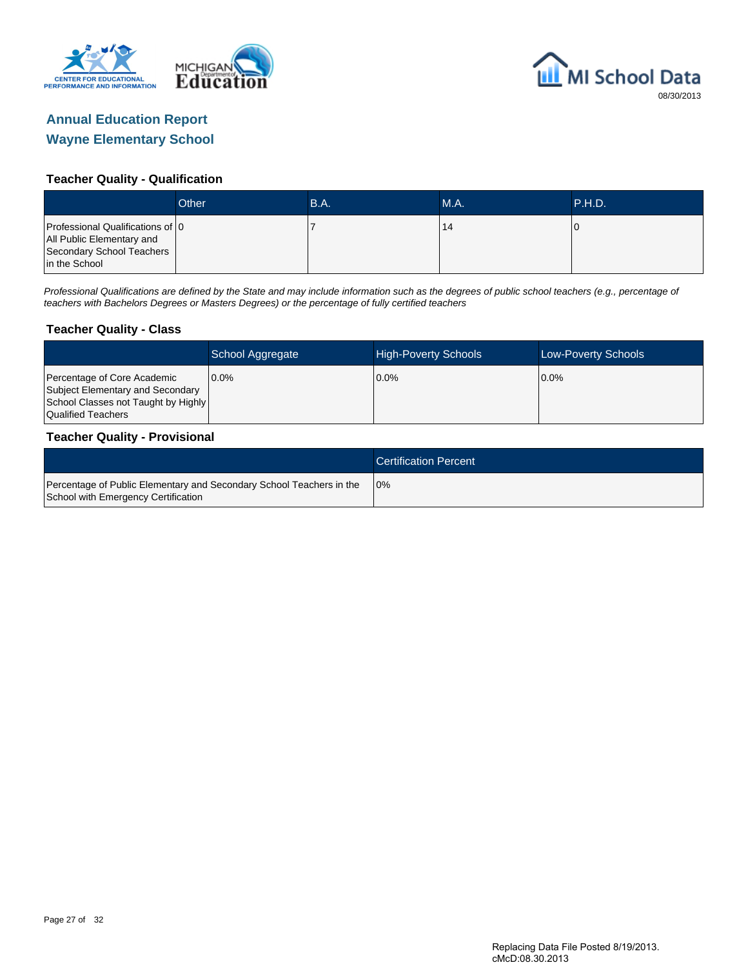



#### **Teacher Quality - Qualification**

|                                                                                                             | Other | B.A. | <b>M.A.</b> | <b>TP.H.D.</b> |
|-------------------------------------------------------------------------------------------------------------|-------|------|-------------|----------------|
| Professional Qualifications of 0<br>All Public Elementary and<br>Secondary School Teachers<br>in the School |       |      | 14          |                |

Professional Qualifications are defined by the State and may include information such as the degrees of public school teachers (e.g., percentage of teachers with Bachelors Degrees or Masters Degrees) or the percentage of fully certified teachers

#### **Teacher Quality - Class**

|                                                                                                                              | School Aggregate | <b>High-Poverty Schools</b> | Low-Poverty Schools |
|------------------------------------------------------------------------------------------------------------------------------|------------------|-----------------------------|---------------------|
| Percentage of Core Academic<br>Subject Elementary and Secondary<br>School Classes not Taught by Highly<br>Qualified Teachers | $0.0\%$          | $0.0\%$                     | $0.0\%$             |

#### **Teacher Quality - Provisional**

|                                                                                                             | <b>Certification Percent</b> |
|-------------------------------------------------------------------------------------------------------------|------------------------------|
| Percentage of Public Elementary and Secondary School Teachers in the<br>School with Emergency Certification | 10%                          |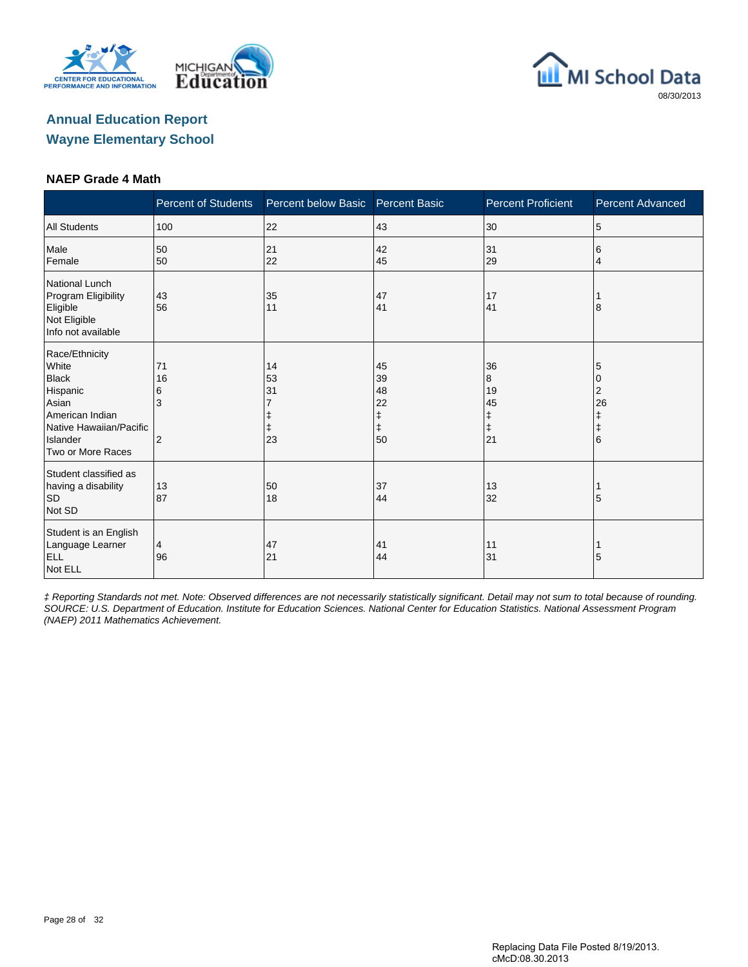





#### **NAEP Grade 4 Math**

|                                                                                                                                             | <b>Percent of Students</b>           | Percent below Basic  | <b>Percent Basic</b>              | <b>Percent Proficient</b>                    | <b>Percent Advanced</b>                   |
|---------------------------------------------------------------------------------------------------------------------------------------------|--------------------------------------|----------------------|-----------------------------------|----------------------------------------------|-------------------------------------------|
| <b>All Students</b>                                                                                                                         | 100                                  | 22                   | 43                                | 30                                           | 5                                         |
| Male<br>Female                                                                                                                              | 50<br>50                             | 21<br>22             | 42<br>45                          | 31<br>29                                     | 6<br>4                                    |
| National Lunch<br>Program Eligibility<br>Eligible<br>Not Eligible<br>Info not available                                                     | 43<br>56                             | 35<br>11             | 47<br>41                          | 17<br>41                                     | 8                                         |
| Race/Ethnicity<br>White<br><b>Black</b><br>Hispanic<br>Asian<br>American Indian<br>Native Hawaiian/Pacific<br>Islander<br>Two or More Races | 71<br>16<br>6<br>3<br>$\overline{2}$ | 14<br>53<br>31<br>23 | 45<br>39<br>48<br>22<br>$+$<br>50 | 36<br>8<br>19<br>45<br>ŧ<br>$\ddagger$<br>21 | 5<br>0<br>2<br>26<br>ŧ<br>$\ddagger$<br>6 |
| Student classified as<br>having a disability<br>SD<br>Not SD                                                                                | 13<br>87                             | 50<br>18             | 37<br>44                          | 13<br>32                                     | 5                                         |
| Student is an English<br>Language Learner<br><b>ELL</b><br>Not ELL                                                                          | 4<br>96                              | 47<br>21             | 41<br>44                          | 11<br>31                                     | 5                                         |

‡ Reporting Standards not met. Note: Observed differences are not necessarily statistically significant. Detail may not sum to total because of rounding. SOURCE: U.S. Department of Education. Institute for Education Sciences. National Center for Education Statistics. National Assessment Program (NAEP) 2011 Mathematics Achievement.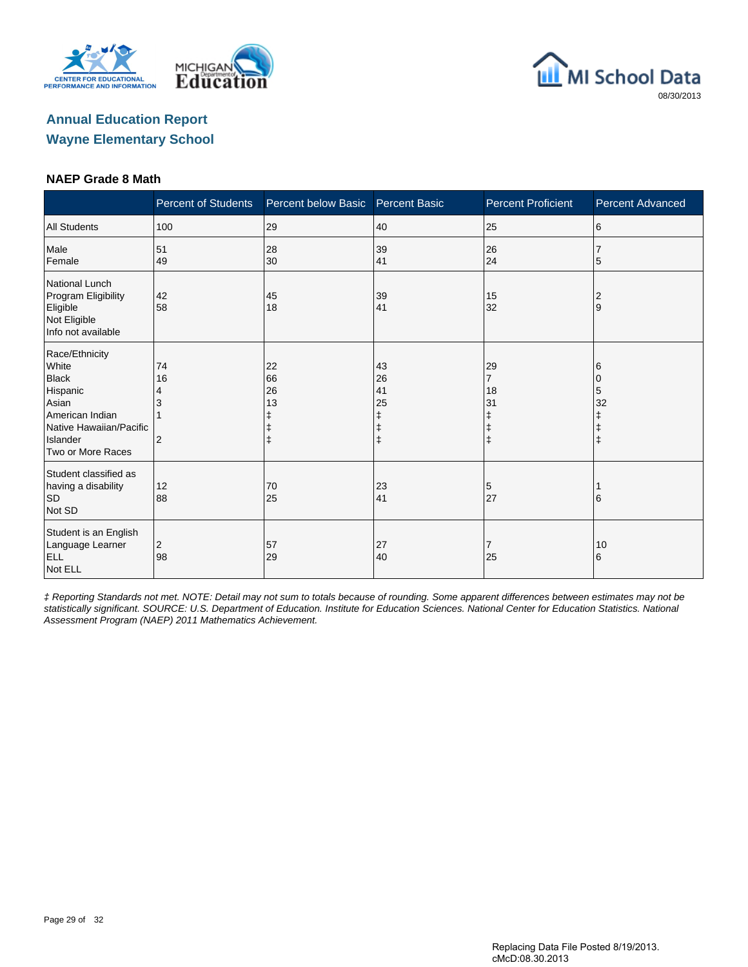





#### **NAEP Grade 8 Math**

|                                                                                                                                             | <b>Percent of Students</b>      | Percent below Basic                     | <b>Percent Basic</b>               | <b>Percent Proficient</b>                            | <b>Percent Advanced</b>     |
|---------------------------------------------------------------------------------------------------------------------------------------------|---------------------------------|-----------------------------------------|------------------------------------|------------------------------------------------------|-----------------------------|
| <b>All Students</b>                                                                                                                         | 100                             | 29                                      | 40                                 | 25                                                   | 6                           |
| Male<br>Female                                                                                                                              | 51<br>49                        | 28<br>30                                | 39<br>41                           | 26<br>24                                             | 5                           |
| National Lunch<br>Program Eligibility<br>Eligible<br>Not Eligible<br>Info not available                                                     | 42<br>58                        | 45<br>18                                | 39<br>41                           | 15<br>32                                             | 2<br>9                      |
| Race/Ethnicity<br>White<br><b>Black</b><br>Hispanic<br>Asian<br>American Indian<br>Native Hawaiian/Pacific<br>Islander<br>Two or More Races | 74<br>16<br>4<br>$\overline{2}$ | 22<br>66<br>26<br>13<br>ŧ<br>$\ddagger$ | 43<br>26<br>41<br>25<br>$\ddagger$ | 29<br>7<br>18<br>31<br>ŧ<br>$\ddagger$<br>$\ddagger$ | 6<br>0<br>5<br>32<br>ŧ<br>ŧ |
| Student classified as<br>having a disability<br><b>SD</b><br>Not SD                                                                         | 12<br>88                        | 70<br>25                                | 23<br>41                           | 5<br>27                                              | 16                          |
| Student is an English<br>Language Learner<br><b>ELL</b><br>Not ELL                                                                          | 2<br>98                         | 57<br>29                                | 27<br>40                           | 7<br>25                                              | 10<br>6                     |

‡ Reporting Standards not met. NOTE: Detail may not sum to totals because of rounding. Some apparent differences between estimates may not be statistically significant. SOURCE: U.S. Department of Education. Institute for Education Sciences. National Center for Education Statistics. National Assessment Program (NAEP) 2011 Mathematics Achievement.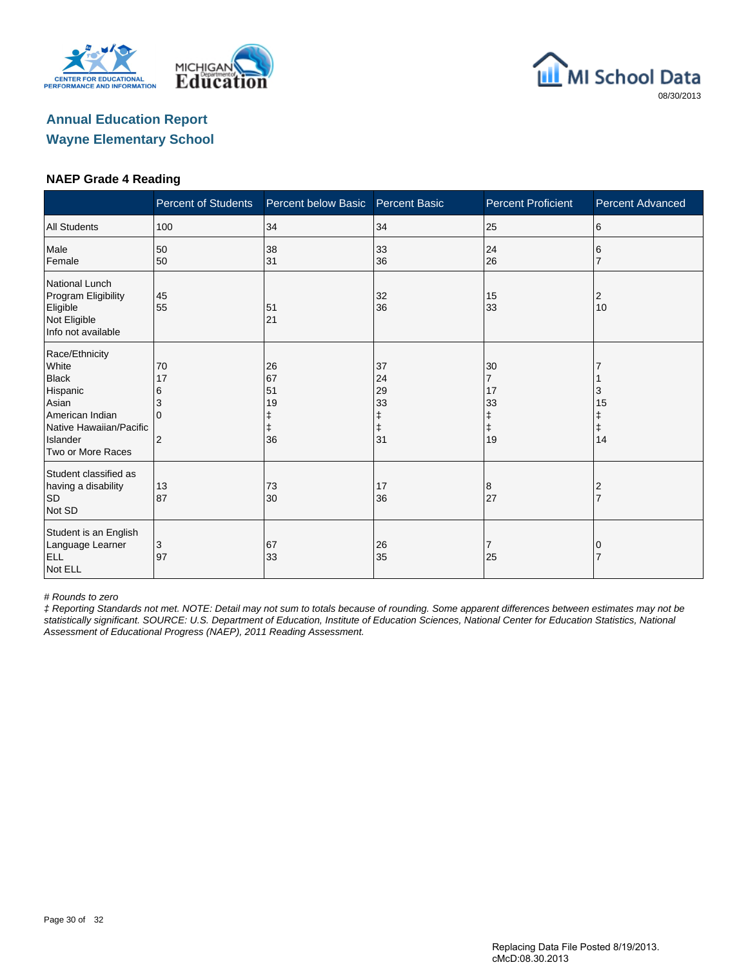





#### **NAEP Grade 4 Reading**

|                                                                                                                                             | <b>Percent of Students</b>          | Percent below Basic        | <b>Percent Basic</b>                                   | <b>Percent Proficient</b>                                 | <b>Percent Advanced</b> |
|---------------------------------------------------------------------------------------------------------------------------------------------|-------------------------------------|----------------------------|--------------------------------------------------------|-----------------------------------------------------------|-------------------------|
| <b>All Students</b>                                                                                                                         | 100                                 | 34                         | 34                                                     | 25                                                        | 6                       |
| Male<br>Female                                                                                                                              | 50<br>50                            | 38<br>31                   | 33<br>36                                               | 24<br>26                                                  | 6                       |
| <b>National Lunch</b><br>Program Eligibility<br>Eligible<br>Not Eligible<br>Info not available                                              | 45<br>55                            | 51<br>21                   | 32<br>36                                               | 15<br>33                                                  | 2<br>10                 |
| Race/Ethnicity<br>White<br><b>Black</b><br>Hispanic<br>Asian<br>American Indian<br>Native Hawaiian/Pacific<br>Islander<br>Two or More Races | 70<br>17<br>6<br>3<br>$\Omega$<br>2 | 26<br>67<br>51<br>19<br>36 | 37<br>24<br>29<br>33<br>$\ddagger$<br>$\ddagger$<br>31 | 30<br>$\overline{7}$<br>17<br>33<br>ŧ<br>$\ddagger$<br>19 | З<br>15<br>Ŧ<br>ŧ<br>14 |
| Student classified as<br>having a disability<br>SD<br>Not SD                                                                                | 13<br>87                            | 73<br>30                   | 17<br>36                                               | 8<br>27                                                   | 2                       |
| Student is an English<br>Language Learner<br><b>ELL</b><br>Not ELL                                                                          | 3<br>97                             | 67<br>33                   | 26<br>35                                               | 7<br>25                                                   |                         |

# Rounds to zero

‡ Reporting Standards not met. NOTE: Detail may not sum to totals because of rounding. Some apparent differences between estimates may not be statistically significant. SOURCE: U.S. Department of Education, Institute of Education Sciences, National Center for Education Statistics, National Assessment of Educational Progress (NAEP), 2011 Reading Assessment.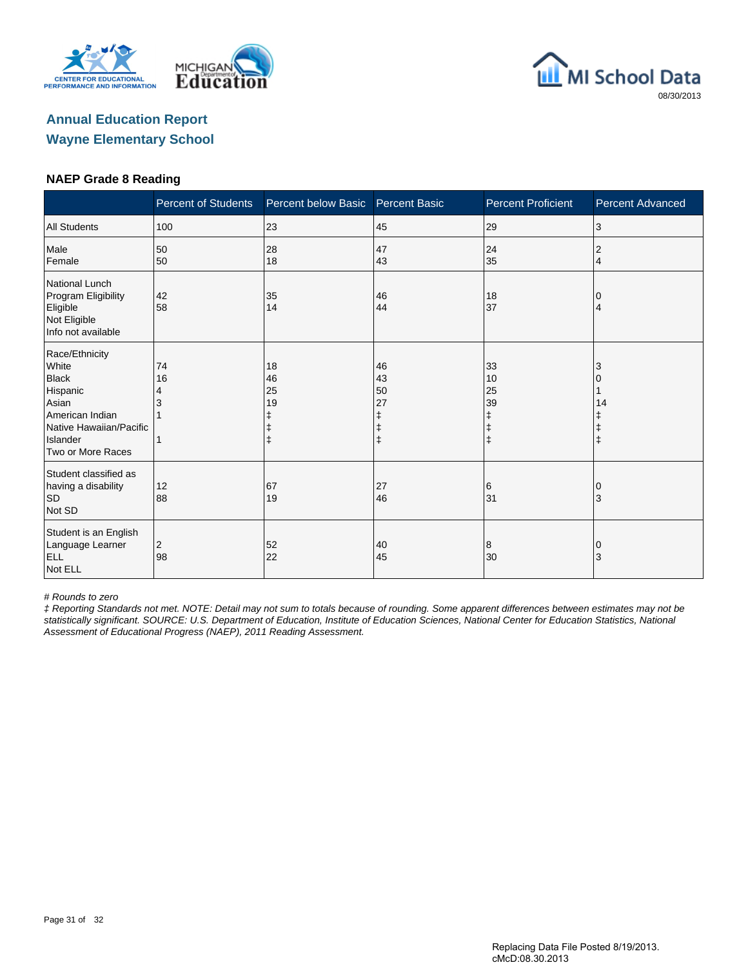





#### **NAEP Grade 8 Reading**

|                                                                                                                                             | <b>Percent of Students</b> | Percent below Basic  | <b>Percent Basic</b>      | <b>Percent Proficient</b>                             | <b>Percent Advanced</b> |
|---------------------------------------------------------------------------------------------------------------------------------------------|----------------------------|----------------------|---------------------------|-------------------------------------------------------|-------------------------|
| <b>All Students</b>                                                                                                                         | 100                        | 23                   | 45                        | 29                                                    | 3                       |
| Male<br>Female                                                                                                                              | 50<br>50                   | 28<br>18             | 47<br>43                  | 24<br>35                                              | 2<br>4                  |
| National Lunch<br>Program Eligibility<br>Eligible<br>Not Eligible<br>Info not available                                                     | 42<br>58                   | 35<br>14             | 46<br>44                  | 18<br>37                                              | 0<br>4                  |
| Race/Ethnicity<br>White<br><b>Black</b><br>Hispanic<br>Asian<br>American Indian<br>Native Hawaiian/Pacific<br>Islander<br>Two or More Races | 74<br>16<br>4              | 18<br>46<br>25<br>19 | 46<br>43<br>50<br>27<br>ŧ | 33<br>10<br>25<br>39<br>ŧ<br>$\ddagger$<br>$\ddagger$ | 3<br>14<br>$\ddagger$   |
| Student classified as<br>having a disability<br><b>SD</b><br>Not SD                                                                         | 12<br>88                   | 67<br>19             | 27<br>46                  | 6<br>31                                               | 0<br>3                  |
| Student is an English<br>Language Learner<br><b>ELL</b><br>Not ELL                                                                          | 2<br>98                    | 52<br>22             | 40<br>45                  | 8<br>30                                               | 0<br>3                  |

# Rounds to zero

‡ Reporting Standards not met. NOTE: Detail may not sum to totals because of rounding. Some apparent differences between estimates may not be statistically significant. SOURCE: U.S. Department of Education, Institute of Education Sciences, National Center for Education Statistics, National Assessment of Educational Progress (NAEP), 2011 Reading Assessment.